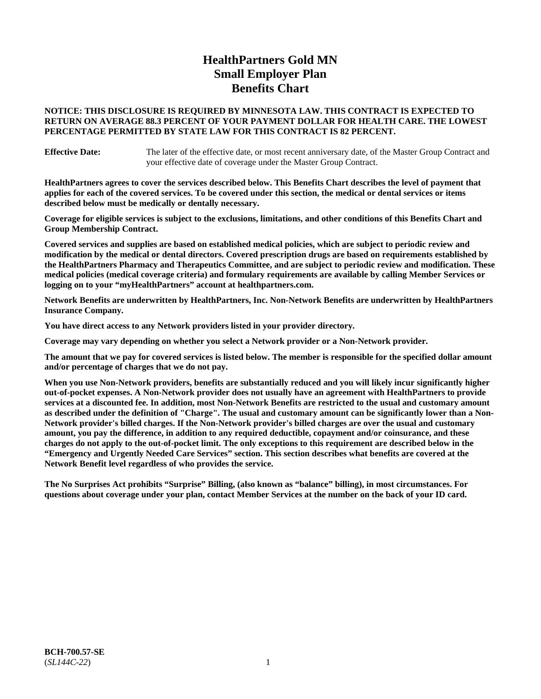# **HealthPartners Gold MN Small Employer Plan Benefits Chart**

### **NOTICE: THIS DISCLOSURE IS REQUIRED BY MINNESOTA LAW. THIS CONTRACT IS EXPECTED TO RETURN ON AVERAGE 88.3 PERCENT OF YOUR PAYMENT DOLLAR FOR HEALTH CARE. THE LOWEST PERCENTAGE PERMITTED BY STATE LAW FOR THIS CONTRACT IS 82 PERCENT.**

**Effective Date:** The later of the effective date, or most recent anniversary date, of the Master Group Contract and your effective date of coverage under the Master Group Contract.

**HealthPartners agrees to cover the services described below. This Benefits Chart describes the level of payment that applies for each of the covered services. To be covered under this section, the medical or dental services or items described below must be medically or dentally necessary.**

**Coverage for eligible services is subject to the exclusions, limitations, and other conditions of this Benefits Chart and Group Membership Contract.**

**Covered services and supplies are based on established medical policies, which are subject to periodic review and modification by the medical or dental directors. Covered prescription drugs are based on requirements established by the HealthPartners Pharmacy and Therapeutics Committee, and are subject to periodic review and modification. These medical policies (medical coverage criteria) and formulary requirements are available by calling Member Services or logging on to your "myHealthPartners" account at [healthpartners.com.](https://www.healthpartners.com/hp/index.html)**

**Network Benefits are underwritten by HealthPartners, Inc. Non-Network Benefits are underwritten by HealthPartners Insurance Company.** 

**You have direct access to any Network providers listed in your provider directory.**

**Coverage may vary depending on whether you select a Network provider or a Non-Network provider.**

**The amount that we pay for covered services is listed below. The member is responsible for the specified dollar amount and/or percentage of charges that we do not pay.**

**When you use Non-Network providers, benefits are substantially reduced and you will likely incur significantly higher out-of-pocket expenses. A Non-Network provider does not usually have an agreement with HealthPartners to provide services at a discounted fee. In addition, most Non-Network Benefits are restricted to the usual and customary amount as described under the definition of "Charge". The usual and customary amount can be significantly lower than a Non-Network provider's billed charges. If the Non-Network provider's billed charges are over the usual and customary amount, you pay the difference, in addition to any required deductible, copayment and/or coinsurance, and these charges do not apply to the out-of-pocket limit. The only exceptions to this requirement are described below in the "Emergency and Urgently Needed Care Services" section. This section describes what benefits are covered at the Network Benefit level regardless of who provides the service.**

**The No Surprises Act prohibits "Surprise" Billing, (also known as "balance" billing), in most circumstances. For questions about coverage under your plan, contact Member Services at the number on the back of your ID card.**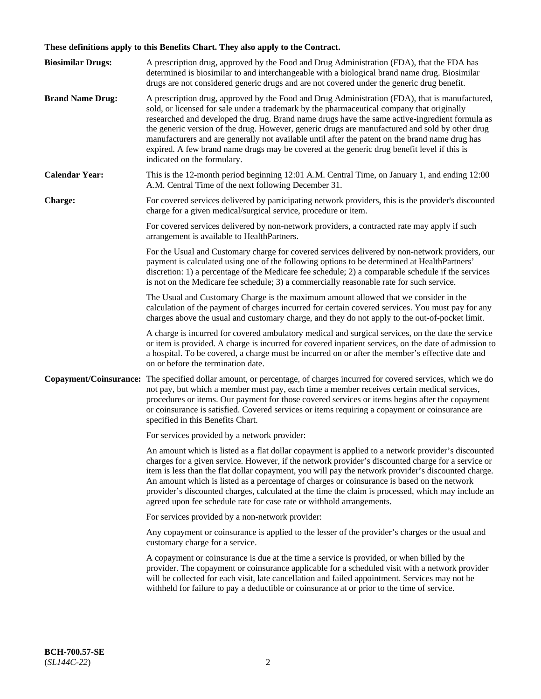# **These definitions apply to this Benefits Chart. They also apply to the Contract.**

| <b>Biosimilar Drugs:</b> | A prescription drug, approved by the Food and Drug Administration (FDA), that the FDA has<br>determined is biosimilar to and interchangeable with a biological brand name drug. Biosimilar<br>drugs are not considered generic drugs and are not covered under the generic drug benefit.                                                                                                                                                                                                                                                                                                                                           |
|--------------------------|------------------------------------------------------------------------------------------------------------------------------------------------------------------------------------------------------------------------------------------------------------------------------------------------------------------------------------------------------------------------------------------------------------------------------------------------------------------------------------------------------------------------------------------------------------------------------------------------------------------------------------|
| <b>Brand Name Drug:</b>  | A prescription drug, approved by the Food and Drug Administration (FDA), that is manufactured,<br>sold, or licensed for sale under a trademark by the pharmaceutical company that originally<br>researched and developed the drug. Brand name drugs have the same active-ingredient formula as<br>the generic version of the drug. However, generic drugs are manufactured and sold by other drug<br>manufacturers and are generally not available until after the patent on the brand name drug has<br>expired. A few brand name drugs may be covered at the generic drug benefit level if this is<br>indicated on the formulary. |
| <b>Calendar Year:</b>    | This is the 12-month period beginning 12:01 A.M. Central Time, on January 1, and ending 12:00<br>A.M. Central Time of the next following December 31.                                                                                                                                                                                                                                                                                                                                                                                                                                                                              |
| <b>Charge:</b>           | For covered services delivered by participating network providers, this is the provider's discounted<br>charge for a given medical/surgical service, procedure or item.                                                                                                                                                                                                                                                                                                                                                                                                                                                            |
|                          | For covered services delivered by non-network providers, a contracted rate may apply if such<br>arrangement is available to HealthPartners.                                                                                                                                                                                                                                                                                                                                                                                                                                                                                        |
|                          | For the Usual and Customary charge for covered services delivered by non-network providers, our<br>payment is calculated using one of the following options to be determined at HealthPartners'<br>discretion: 1) a percentage of the Medicare fee schedule; 2) a comparable schedule if the services<br>is not on the Medicare fee schedule; 3) a commercially reasonable rate for such service.                                                                                                                                                                                                                                  |
|                          | The Usual and Customary Charge is the maximum amount allowed that we consider in the<br>calculation of the payment of charges incurred for certain covered services. You must pay for any<br>charges above the usual and customary charge, and they do not apply to the out-of-pocket limit.                                                                                                                                                                                                                                                                                                                                       |
|                          | A charge is incurred for covered ambulatory medical and surgical services, on the date the service<br>or item is provided. A charge is incurred for covered inpatient services, on the date of admission to<br>a hospital. To be covered, a charge must be incurred on or after the member's effective date and<br>on or before the termination date.                                                                                                                                                                                                                                                                              |
| Copayment/Coinsurance:   | The specified dollar amount, or percentage, of charges incurred for covered services, which we do<br>not pay, but which a member must pay, each time a member receives certain medical services,<br>procedures or items. Our payment for those covered services or items begins after the copayment<br>or coinsurance is satisfied. Covered services or items requiring a copayment or coinsurance are<br>specified in this Benefits Chart.                                                                                                                                                                                        |
|                          | For services provided by a network provider:                                                                                                                                                                                                                                                                                                                                                                                                                                                                                                                                                                                       |
|                          | An amount which is listed as a flat dollar copayment is applied to a network provider's discounted<br>charges for a given service. However, if the network provider's discounted charge for a service or<br>item is less than the flat dollar copayment, you will pay the network provider's discounted charge.<br>An amount which is listed as a percentage of charges or coinsurance is based on the network<br>provider's discounted charges, calculated at the time the claim is processed, which may include an<br>agreed upon fee schedule rate for case rate or withhold arrangements.                                      |
|                          | For services provided by a non-network provider:                                                                                                                                                                                                                                                                                                                                                                                                                                                                                                                                                                                   |
|                          | Any copayment or coinsurance is applied to the lesser of the provider's charges or the usual and<br>customary charge for a service.                                                                                                                                                                                                                                                                                                                                                                                                                                                                                                |
|                          | A copayment or coinsurance is due at the time a service is provided, or when billed by the<br>provider. The copayment or coinsurance applicable for a scheduled visit with a network provider<br>will be collected for each visit, late cancellation and failed appointment. Services may not be<br>withheld for failure to pay a deductible or coinsurance at or prior to the time of service.                                                                                                                                                                                                                                    |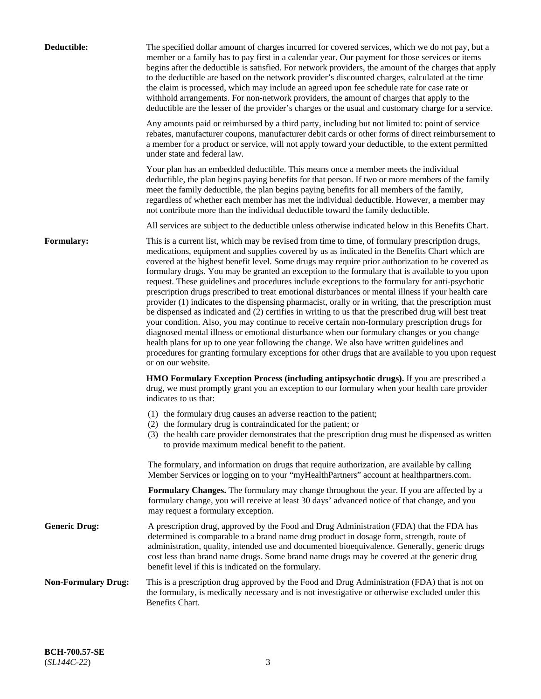| Deductible:                | The specified dollar amount of charges incurred for covered services, which we do not pay, but a<br>member or a family has to pay first in a calendar year. Our payment for those services or items<br>begins after the deductible is satisfied. For network providers, the amount of the charges that apply<br>to the deductible are based on the network provider's discounted charges, calculated at the time<br>the claim is processed, which may include an agreed upon fee schedule rate for case rate or<br>withhold arrangements. For non-network providers, the amount of charges that apply to the<br>deductible are the lesser of the provider's charges or the usual and customary charge for a service.                                                                                                                                                                                                                                                                                                                                                                                                                                                                                                                                             |
|----------------------------|------------------------------------------------------------------------------------------------------------------------------------------------------------------------------------------------------------------------------------------------------------------------------------------------------------------------------------------------------------------------------------------------------------------------------------------------------------------------------------------------------------------------------------------------------------------------------------------------------------------------------------------------------------------------------------------------------------------------------------------------------------------------------------------------------------------------------------------------------------------------------------------------------------------------------------------------------------------------------------------------------------------------------------------------------------------------------------------------------------------------------------------------------------------------------------------------------------------------------------------------------------------|
|                            | Any amounts paid or reimbursed by a third party, including but not limited to: point of service<br>rebates, manufacturer coupons, manufacturer debit cards or other forms of direct reimbursement to<br>a member for a product or service, will not apply toward your deductible, to the extent permitted<br>under state and federal law.                                                                                                                                                                                                                                                                                                                                                                                                                                                                                                                                                                                                                                                                                                                                                                                                                                                                                                                        |
|                            | Your plan has an embedded deductible. This means once a member meets the individual<br>deductible, the plan begins paying benefits for that person. If two or more members of the family<br>meet the family deductible, the plan begins paying benefits for all members of the family,<br>regardless of whether each member has met the individual deductible. However, a member may<br>not contribute more than the individual deductible toward the family deductible.                                                                                                                                                                                                                                                                                                                                                                                                                                                                                                                                                                                                                                                                                                                                                                                         |
|                            | All services are subject to the deductible unless otherwise indicated below in this Benefits Chart.                                                                                                                                                                                                                                                                                                                                                                                                                                                                                                                                                                                                                                                                                                                                                                                                                                                                                                                                                                                                                                                                                                                                                              |
| Formulary:                 | This is a current list, which may be revised from time to time, of formulary prescription drugs,<br>medications, equipment and supplies covered by us as indicated in the Benefits Chart which are<br>covered at the highest benefit level. Some drugs may require prior authorization to be covered as<br>formulary drugs. You may be granted an exception to the formulary that is available to you upon<br>request. These guidelines and procedures include exceptions to the formulary for anti-psychotic<br>prescription drugs prescribed to treat emotional disturbances or mental illness if your health care<br>provider (1) indicates to the dispensing pharmacist, orally or in writing, that the prescription must<br>be dispensed as indicated and (2) certifies in writing to us that the prescribed drug will best treat<br>your condition. Also, you may continue to receive certain non-formulary prescription drugs for<br>diagnosed mental illness or emotional disturbance when our formulary changes or you change<br>health plans for up to one year following the change. We also have written guidelines and<br>procedures for granting formulary exceptions for other drugs that are available to you upon request<br>or on our website. |
|                            | HMO Formulary Exception Process (including antipsychotic drugs). If you are prescribed a<br>drug, we must promptly grant you an exception to our formulary when your health care provider<br>indicates to us that:                                                                                                                                                                                                                                                                                                                                                                                                                                                                                                                                                                                                                                                                                                                                                                                                                                                                                                                                                                                                                                               |
|                            | (1) the formulary drug causes an adverse reaction to the patient;<br>(2) the formulary drug is contraindicated for the patient; or<br>(3) the health care provider demonstrates that the prescription drug must be dispensed as written<br>to provide maximum medical benefit to the patient.                                                                                                                                                                                                                                                                                                                                                                                                                                                                                                                                                                                                                                                                                                                                                                                                                                                                                                                                                                    |
|                            | The formulary, and information on drugs that require authorization, are available by calling<br>Member Services or logging on to your "myHealthPartners" account at healthpartners.com.                                                                                                                                                                                                                                                                                                                                                                                                                                                                                                                                                                                                                                                                                                                                                                                                                                                                                                                                                                                                                                                                          |
|                            | Formulary Changes. The formulary may change throughout the year. If you are affected by a<br>formulary change, you will receive at least 30 days' advanced notice of that change, and you<br>may request a formulary exception.                                                                                                                                                                                                                                                                                                                                                                                                                                                                                                                                                                                                                                                                                                                                                                                                                                                                                                                                                                                                                                  |
| <b>Generic Drug:</b>       | A prescription drug, approved by the Food and Drug Administration (FDA) that the FDA has<br>determined is comparable to a brand name drug product in dosage form, strength, route of<br>administration, quality, intended use and documented bioequivalence. Generally, generic drugs<br>cost less than brand name drugs. Some brand name drugs may be covered at the generic drug<br>benefit level if this is indicated on the formulary.                                                                                                                                                                                                                                                                                                                                                                                                                                                                                                                                                                                                                                                                                                                                                                                                                       |
| <b>Non-Formulary Drug:</b> | This is a prescription drug approved by the Food and Drug Administration (FDA) that is not on<br>the formulary, is medically necessary and is not investigative or otherwise excluded under this<br>Benefits Chart.                                                                                                                                                                                                                                                                                                                                                                                                                                                                                                                                                                                                                                                                                                                                                                                                                                                                                                                                                                                                                                              |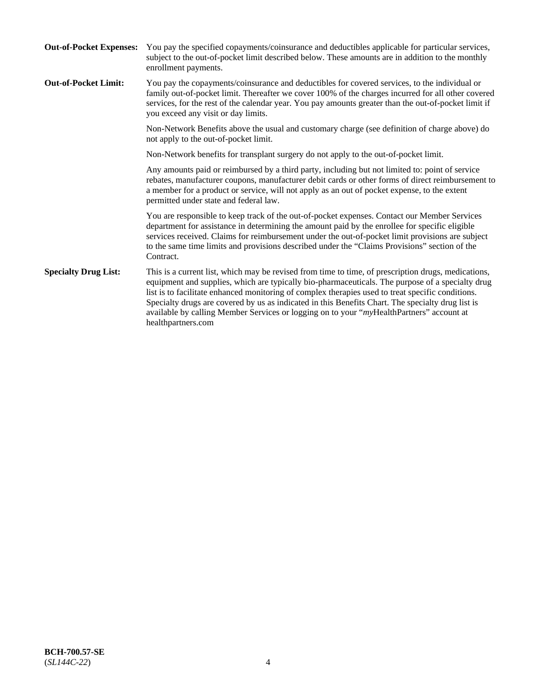| <b>Out-of-Pocket Expenses:</b> | You pay the specified copayments/coinsurance and deductibles applicable for particular services,<br>subject to the out-of-pocket limit described below. These amounts are in addition to the monthly<br>enrollment payments.                                                                                                                                                                                                                                                                                                        |
|--------------------------------|-------------------------------------------------------------------------------------------------------------------------------------------------------------------------------------------------------------------------------------------------------------------------------------------------------------------------------------------------------------------------------------------------------------------------------------------------------------------------------------------------------------------------------------|
| <b>Out-of-Pocket Limit:</b>    | You pay the copayments/coinsurance and deductibles for covered services, to the individual or<br>family out-of-pocket limit. Thereafter we cover 100% of the charges incurred for all other covered<br>services, for the rest of the calendar year. You pay amounts greater than the out-of-pocket limit if<br>you exceed any visit or day limits.                                                                                                                                                                                  |
|                                | Non-Network Benefits above the usual and customary charge (see definition of charge above) do<br>not apply to the out-of-pocket limit.                                                                                                                                                                                                                                                                                                                                                                                              |
|                                | Non-Network benefits for transplant surgery do not apply to the out-of-pocket limit.                                                                                                                                                                                                                                                                                                                                                                                                                                                |
|                                | Any amounts paid or reimbursed by a third party, including but not limited to: point of service<br>rebates, manufacturer coupons, manufacturer debit cards or other forms of direct reimbursement to<br>a member for a product or service, will not apply as an out of pocket expense, to the extent<br>permitted under state and federal law.                                                                                                                                                                                      |
|                                | You are responsible to keep track of the out-of-pocket expenses. Contact our Member Services<br>department for assistance in determining the amount paid by the enrollee for specific eligible<br>services received. Claims for reimbursement under the out-of-pocket limit provisions are subject<br>to the same time limits and provisions described under the "Claims Provisions" section of the<br>Contract.                                                                                                                    |
| <b>Specialty Drug List:</b>    | This is a current list, which may be revised from time to time, of prescription drugs, medications,<br>equipment and supplies, which are typically bio-pharmaceuticals. The purpose of a specialty drug<br>list is to facilitate enhanced monitoring of complex therapies used to treat specific conditions.<br>Specialty drugs are covered by us as indicated in this Benefits Chart. The specialty drug list is<br>available by calling Member Services or logging on to your "myHealthPartners" account at<br>healthpartners.com |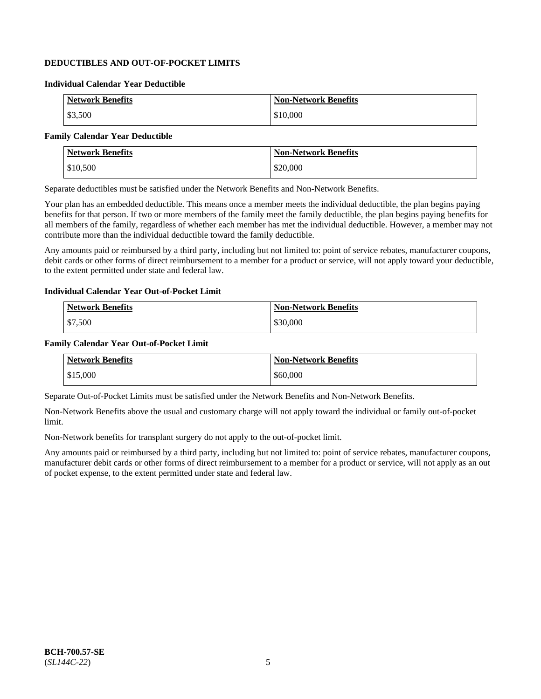## **DEDUCTIBLES AND OUT-OF-POCKET LIMITS**

### **Individual Calendar Year Deductible**

| <b>Network Benefits</b> | Non-Network Benefits |
|-------------------------|----------------------|
| \$3,500                 | \$10,000             |

### **Family Calendar Year Deductible**

| <b>Network Benefits</b> | <b>Non-Network Benefits</b> |
|-------------------------|-----------------------------|
| $\frac{$10,500}{}$      | \$20,000                    |

Separate deductibles must be satisfied under the Network Benefits and Non-Network Benefits.

Your plan has an embedded deductible. This means once a member meets the individual deductible, the plan begins paying benefits for that person. If two or more members of the family meet the family deductible, the plan begins paying benefits for all members of the family, regardless of whether each member has met the individual deductible. However, a member may not contribute more than the individual deductible toward the family deductible.

Any amounts paid or reimbursed by a third party, including but not limited to: point of service rebates, manufacturer coupons, debit cards or other forms of direct reimbursement to a member for a product or service, will not apply toward your deductible, to the extent permitted under state and federal law.

#### **Individual Calendar Year Out-of-Pocket Limit**

| <b>Network Benefits</b> | <b>Non-Network Benefits</b> |
|-------------------------|-----------------------------|
| \$7,500                 | \$30,000                    |

#### **Family Calendar Year Out-of-Pocket Limit**

| <b>Network Benefits</b> | Non-Network Benefits |
|-------------------------|----------------------|
| \$15,000                | \$60,000             |

Separate Out-of-Pocket Limits must be satisfied under the Network Benefits and Non-Network Benefits.

Non-Network Benefits above the usual and customary charge will not apply toward the individual or family out-of-pocket limit.

Non-Network benefits for transplant surgery do not apply to the out-of-pocket limit.

Any amounts paid or reimbursed by a third party, including but not limited to: point of service rebates, manufacturer coupons, manufacturer debit cards or other forms of direct reimbursement to a member for a product or service, will not apply as an out of pocket expense, to the extent permitted under state and federal law.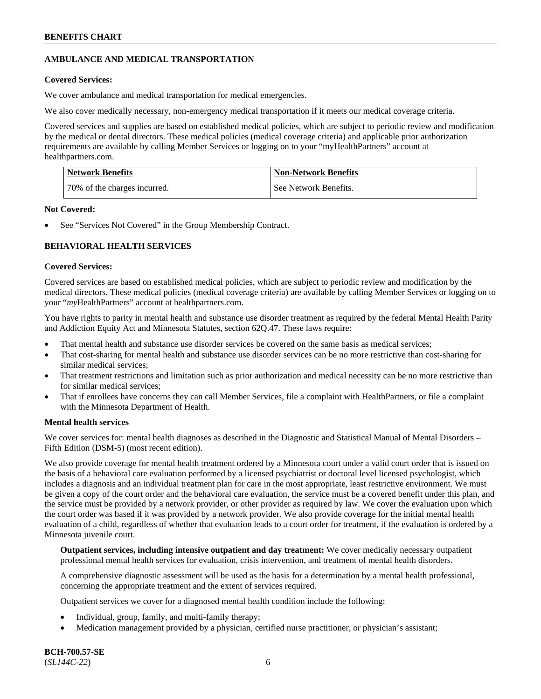## **AMBULANCE AND MEDICAL TRANSPORTATION**

## **Covered Services:**

We cover ambulance and medical transportation for medical emergencies.

We also cover medically necessary, non-emergency medical transportation if it meets our medical coverage criteria.

Covered services and supplies are based on established medical policies, which are subject to periodic review and modification by the medical or dental directors. These medical policies (medical coverage criteria) and applicable prior authorization requirements are available by calling Member Services or logging on to your "myHealthPartners" account at [healthpartners.com.](https://www.healthpartners.com/hp/index.html)

| Network Benefits             | <b>Non-Network Benefits</b> |
|------------------------------|-----------------------------|
| 70% of the charges incurred. | See Network Benefits.       |

### **Not Covered:**

See "Services Not Covered" in the Group Membership Contract.

## **BEHAVIORAL HEALTH SERVICES**

## **Covered Services:**

Covered services are based on established medical policies, which are subject to periodic review and modification by the medical directors. These medical policies (medical coverage criteria) are available by calling Member Services or logging on to your "*my*HealthPartners" account at [healthpartners.com.](http://www.healthpartners.com/)

You have rights to parity in mental health and substance use disorder treatment as required by the federal Mental Health Parity and Addiction Equity Act and Minnesota Statutes, section 62Q.47. These laws require:

- That mental health and substance use disorder services be covered on the same basis as medical services;
- That cost-sharing for mental health and substance use disorder services can be no more restrictive than cost-sharing for similar medical services;
- That treatment restrictions and limitation such as prior authorization and medical necessity can be no more restrictive than for similar medical services;
- That if enrollees have concerns they can call Member Services, file a complaint with HealthPartners, or file a complaint with the Minnesota Department of Health.

### **Mental health services**

We cover services for: mental health diagnoses as described in the Diagnostic and Statistical Manual of Mental Disorders – Fifth Edition (DSM-5) (most recent edition).

We also provide coverage for mental health treatment ordered by a Minnesota court under a valid court order that is issued on the basis of a behavioral care evaluation performed by a licensed psychiatrist or doctoral level licensed psychologist, which includes a diagnosis and an individual treatment plan for care in the most appropriate, least restrictive environment. We must be given a copy of the court order and the behavioral care evaluation, the service must be a covered benefit under this plan, and the service must be provided by a network provider, or other provider as required by law. We cover the evaluation upon which the court order was based if it was provided by a network provider. We also provide coverage for the initial mental health evaluation of a child, regardless of whether that evaluation leads to a court order for treatment, if the evaluation is ordered by a Minnesota juvenile court.

**Outpatient services, including intensive outpatient and day treatment:** We cover medically necessary outpatient professional mental health services for evaluation, crisis intervention, and treatment of mental health disorders.

A comprehensive diagnostic assessment will be used as the basis for a determination by a mental health professional, concerning the appropriate treatment and the extent of services required.

Outpatient services we cover for a diagnosed mental health condition include the following:

- Individual, group, family, and multi-family therapy;
- Medication management provided by a physician, certified nurse practitioner, or physician's assistant;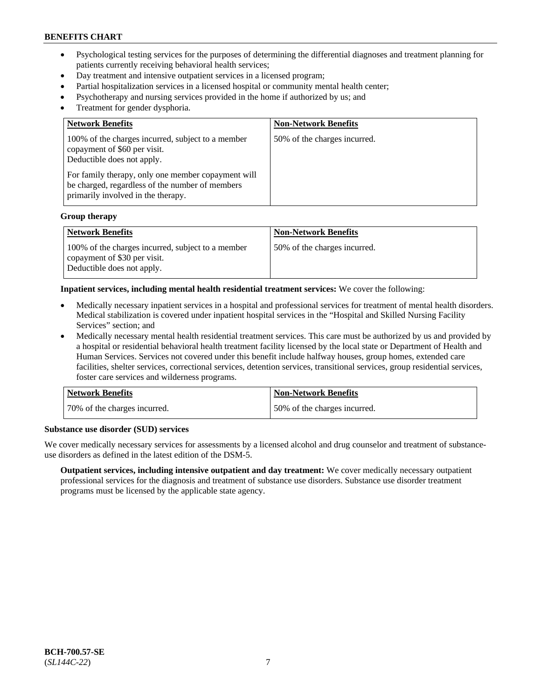- Psychological testing services for the purposes of determining the differential diagnoses and treatment planning for patients currently receiving behavioral health services;
- Day treatment and intensive outpatient services in a licensed program;
- Partial hospitalization services in a licensed hospital or community mental health center;
- Psychotherapy and nursing services provided in the home if authorized by us; and
- Treatment for gender dysphoria.

| <b>Network Benefits</b>                                                                                                                                                                                                                                        | <b>Non-Network Benefits</b>  |
|----------------------------------------------------------------------------------------------------------------------------------------------------------------------------------------------------------------------------------------------------------------|------------------------------|
| 100% of the charges incurred, subject to a member<br>copayment of \$60 per visit.<br>Deductible does not apply.<br>For family therapy, only one member copayment will<br>be charged, regardless of the number of members<br>primarily involved in the therapy. | 50% of the charges incurred. |

#### **Group therapy**

| Network Benefits                                                                                                | <b>Non-Network Benefits</b>   |
|-----------------------------------------------------------------------------------------------------------------|-------------------------------|
| 100% of the charges incurred, subject to a member<br>copayment of \$30 per visit.<br>Deductible does not apply. | 150% of the charges incurred. |

#### **Inpatient services, including mental health residential treatment services:** We cover the following:

- Medically necessary inpatient services in a hospital and professional services for treatment of mental health disorders. Medical stabilization is covered under inpatient hospital services in the "Hospital and Skilled Nursing Facility Services" section; and
- Medically necessary mental health residential treatment services. This care must be authorized by us and provided by a hospital or residential behavioral health treatment facility licensed by the local state or Department of Health and Human Services. Services not covered under this benefit include halfway houses, group homes, extended care facilities, shelter services, correctional services, detention services, transitional services, group residential services, foster care services and wilderness programs.

| <b>Network Benefits</b>      | <b>Non-Network Benefits</b>  |
|------------------------------|------------------------------|
| 70% of the charges incurred. | 50% of the charges incurred. |

#### **Substance use disorder (SUD) services**

We cover medically necessary services for assessments by a licensed alcohol and drug counselor and treatment of substanceuse disorders as defined in the latest edition of the DSM-5.

**Outpatient services, including intensive outpatient and day treatment:** We cover medically necessary outpatient professional services for the diagnosis and treatment of substance use disorders. Substance use disorder treatment programs must be licensed by the applicable state agency.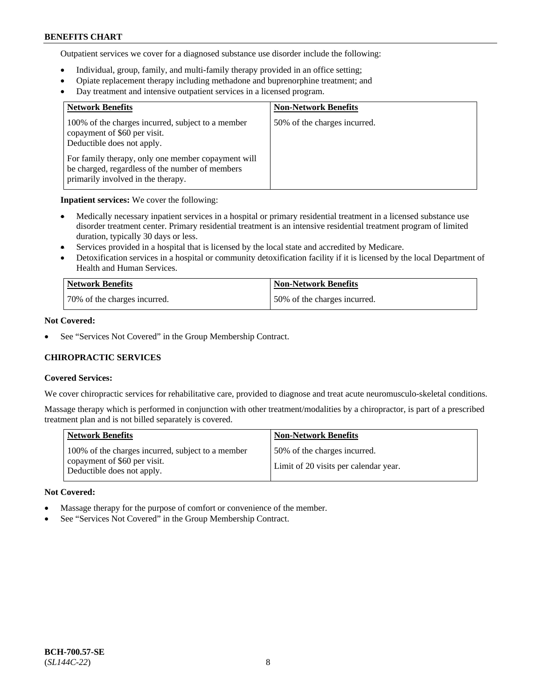Outpatient services we cover for a diagnosed substance use disorder include the following:

- Individual, group, family, and multi-family therapy provided in an office setting;
- Opiate replacement therapy including methadone and buprenorphine treatment; and
- Day treatment and intensive outpatient services in a licensed program.

| <b>Network Benefits</b>                                                                                                                     | <b>Non-Network Benefits</b>  |
|---------------------------------------------------------------------------------------------------------------------------------------------|------------------------------|
| 100% of the charges incurred, subject to a member<br>copayment of \$60 per visit.<br>Deductible does not apply.                             | 50% of the charges incurred. |
| For family therapy, only one member copayment will<br>be charged, regardless of the number of members<br>primarily involved in the therapy. |                              |

**Inpatient services:** We cover the following:

- Medically necessary inpatient services in a hospital or primary residential treatment in a licensed substance use disorder treatment center. Primary residential treatment is an intensive residential treatment program of limited duration, typically 30 days or less.
- Services provided in a hospital that is licensed by the local state and accredited by Medicare.
- Detoxification services in a hospital or community detoxification facility if it is licensed by the local Department of Health and Human Services.

| <b>Network Benefits</b>      | <b>Non-Network Benefits</b>  |
|------------------------------|------------------------------|
| 70% of the charges incurred. | 50% of the charges incurred. |

## **Not Covered:**

See "Services Not Covered" in the Group Membership Contract.

## **CHIROPRACTIC SERVICES**

### **Covered Services:**

We cover chiropractic services for rehabilitative care, provided to diagnose and treat acute neuromusculo-skeletal conditions.

Massage therapy which is performed in conjunction with other treatment/modalities by a chiropractor, is part of a prescribed treatment plan and is not billed separately is covered.

| <b>Network Benefits</b>                                                                                         | <b>Non-Network Benefits</b>                                           |
|-----------------------------------------------------------------------------------------------------------------|-----------------------------------------------------------------------|
| 100% of the charges incurred, subject to a member<br>copayment of \$60 per visit.<br>Deductible does not apply. | 50% of the charges incurred.<br>Limit of 20 visits per calendar year. |

### **Not Covered:**

- Massage therapy for the purpose of comfort or convenience of the member.
- See "Services Not Covered" in the Group Membership Contract.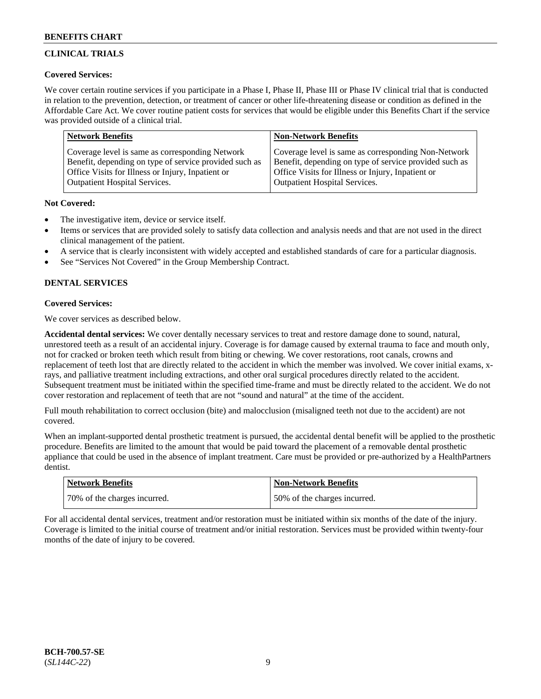## **CLINICAL TRIALS**

### **Covered Services:**

We cover certain routine services if you participate in a Phase I, Phase II, Phase III or Phase IV clinical trial that is conducted in relation to the prevention, detection, or treatment of cancer or other life-threatening disease or condition as defined in the Affordable Care Act. We cover routine patient costs for services that would be eligible under this Benefits Chart if the service was provided outside of a clinical trial.

| <b>Network Benefits</b>                                | <b>Non-Network Benefits</b>                            |
|--------------------------------------------------------|--------------------------------------------------------|
| Coverage level is same as corresponding Network        | Coverage level is same as corresponding Non-Network    |
| Benefit, depending on type of service provided such as | Benefit, depending on type of service provided such as |
| Office Visits for Illness or Injury, Inpatient or      | Office Visits for Illness or Injury, Inpatient or      |
| <b>Outpatient Hospital Services.</b>                   | Outpatient Hospital Services.                          |

### **Not Covered:**

- The investigative item, device or service itself.
- Items or services that are provided solely to satisfy data collection and analysis needs and that are not used in the direct clinical management of the patient.
- A service that is clearly inconsistent with widely accepted and established standards of care for a particular diagnosis.
- See "Services Not Covered" in the Group Membership Contract.

## **DENTAL SERVICES**

## **Covered Services:**

We cover services as described below.

**Accidental dental services:** We cover dentally necessary services to treat and restore damage done to sound, natural, unrestored teeth as a result of an accidental injury. Coverage is for damage caused by external trauma to face and mouth only, not for cracked or broken teeth which result from biting or chewing. We cover restorations, root canals, crowns and replacement of teeth lost that are directly related to the accident in which the member was involved. We cover initial exams, xrays, and palliative treatment including extractions, and other oral surgical procedures directly related to the accident. Subsequent treatment must be initiated within the specified time-frame and must be directly related to the accident. We do not cover restoration and replacement of teeth that are not "sound and natural" at the time of the accident.

Full mouth rehabilitation to correct occlusion (bite) and malocclusion (misaligned teeth not due to the accident) are not covered.

When an implant-supported dental prosthetic treatment is pursued, the accidental dental benefit will be applied to the prosthetic procedure. Benefits are limited to the amount that would be paid toward the placement of a removable dental prosthetic appliance that could be used in the absence of implant treatment. Care must be provided or pre-authorized by a HealthPartners dentist.

| <b>Network Benefits</b>      | <b>Non-Network Benefits</b>  |
|------------------------------|------------------------------|
| 70% of the charges incurred. | 50% of the charges incurred. |

For all accidental dental services, treatment and/or restoration must be initiated within six months of the date of the injury. Coverage is limited to the initial course of treatment and/or initial restoration. Services must be provided within twenty-four months of the date of injury to be covered.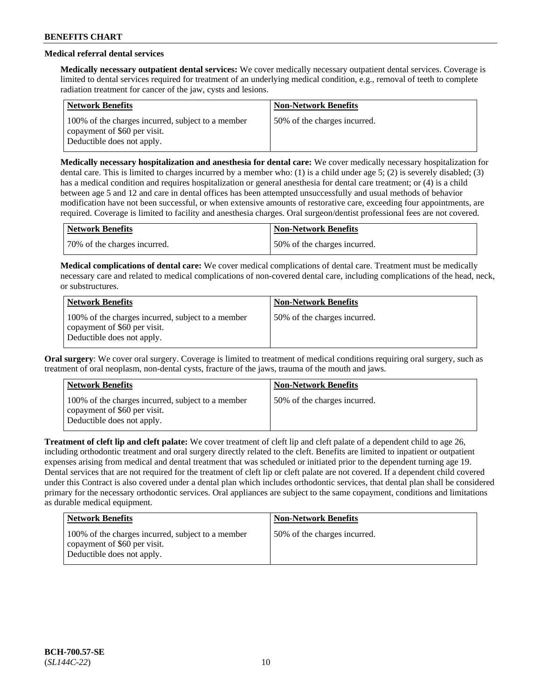## **Medical referral dental services**

**Medically necessary outpatient dental services:** We cover medically necessary outpatient dental services. Coverage is limited to dental services required for treatment of an underlying medical condition, e.g., removal of teeth to complete radiation treatment for cancer of the jaw, cysts and lesions.

| <b>Network Benefits</b>                                                                                         | <b>Non-Network Benefits</b>  |
|-----------------------------------------------------------------------------------------------------------------|------------------------------|
| 100% of the charges incurred, subject to a member<br>copayment of \$60 per visit.<br>Deductible does not apply. | 50% of the charges incurred. |

**Medically necessary hospitalization and anesthesia for dental care:** We cover medically necessary hospitalization for dental care. This is limited to charges incurred by a member who: (1) is a child under age 5; (2) is severely disabled; (3) has a medical condition and requires hospitalization or general anesthesia for dental care treatment; or (4) is a child between age 5 and 12 and care in dental offices has been attempted unsuccessfully and usual methods of behavior modification have not been successful, or when extensive amounts of restorative care, exceeding four appointments, are required. Coverage is limited to facility and anesthesia charges. Oral surgeon/dentist professional fees are not covered.

| Network Benefits             | <b>Non-Network Benefits</b>  |
|------------------------------|------------------------------|
| 70% of the charges incurred. | 50% of the charges incurred. |

**Medical complications of dental care:** We cover medical complications of dental care. Treatment must be medically necessary care and related to medical complications of non-covered dental care, including complications of the head, neck, or substructures.

| <b>Network Benefits</b>                                                                                         | <b>Non-Network Benefits</b>  |
|-----------------------------------------------------------------------------------------------------------------|------------------------------|
| 100% of the charges incurred, subject to a member<br>copayment of \$60 per visit.<br>Deductible does not apply. | 50% of the charges incurred. |

**Oral surgery**: We cover oral surgery. Coverage is limited to treatment of medical conditions requiring oral surgery, such as treatment of oral neoplasm, non-dental cysts, fracture of the jaws, trauma of the mouth and jaws.

| <b>Network Benefits</b>                                                                                         | <b>Non-Network Benefits</b>  |
|-----------------------------------------------------------------------------------------------------------------|------------------------------|
| 100% of the charges incurred, subject to a member<br>copayment of \$60 per visit.<br>Deductible does not apply. | 50% of the charges incurred. |

**Treatment of cleft lip and cleft palate:** We cover treatment of cleft lip and cleft palate of a dependent child to age 26, including orthodontic treatment and oral surgery directly related to the cleft. Benefits are limited to inpatient or outpatient expenses arising from medical and dental treatment that was scheduled or initiated prior to the dependent turning age 19. Dental services that are not required for the treatment of cleft lip or cleft palate are not covered. If a dependent child covered under this Contract is also covered under a dental plan which includes orthodontic services, that dental plan shall be considered primary for the necessary orthodontic services. Oral appliances are subject to the same copayment, conditions and limitations as durable medical equipment.

| <b>Network Benefits</b>                                                                                         | <b>Non-Network Benefits</b>  |
|-----------------------------------------------------------------------------------------------------------------|------------------------------|
| 100% of the charges incurred, subject to a member<br>copayment of \$60 per visit.<br>Deductible does not apply. | 50% of the charges incurred. |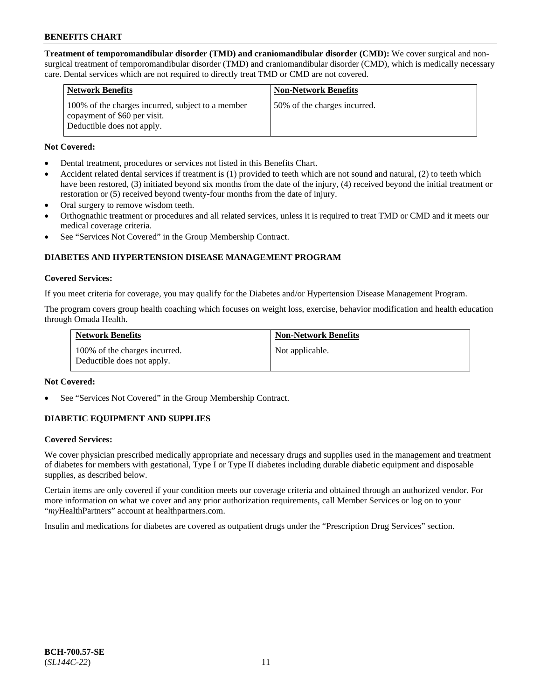**Treatment of temporomandibular disorder (TMD) and craniomandibular disorder (CMD):** We cover surgical and nonsurgical treatment of temporomandibular disorder (TMD) and craniomandibular disorder (CMD), which is medically necessary care. Dental services which are not required to directly treat TMD or CMD are not covered.

| <b>Network Benefits</b>                                                                                         | <b>Non-Network Benefits</b>  |
|-----------------------------------------------------------------------------------------------------------------|------------------------------|
| 100% of the charges incurred, subject to a member<br>copayment of \$60 per visit.<br>Deductible does not apply. | 50% of the charges incurred. |

### **Not Covered:**

- Dental treatment, procedures or services not listed in this Benefits Chart.
- Accident related dental services if treatment is (1) provided to teeth which are not sound and natural, (2) to teeth which have been restored, (3) initiated beyond six months from the date of the injury, (4) received beyond the initial treatment or restoration or (5) received beyond twenty-four months from the date of injury.
- Oral surgery to remove wisdom teeth.
- Orthognathic treatment or procedures and all related services, unless it is required to treat TMD or CMD and it meets our medical coverage criteria.
- See "Services Not Covered" in the Group Membership Contract.

## **DIABETES AND HYPERTENSION DISEASE MANAGEMENT PROGRAM**

#### **Covered Services:**

If you meet criteria for coverage, you may qualify for the Diabetes and/or Hypertension Disease Management Program.

The program covers group health coaching which focuses on weight loss, exercise, behavior modification and health education through Omada Health.

| <b>Network Benefits</b>                                     | <b>Non-Network Benefits</b> |
|-------------------------------------------------------------|-----------------------------|
| 100% of the charges incurred.<br>Deductible does not apply. | Not applicable.             |

### **Not Covered:**

See "Services Not Covered" in the Group Membership Contract.

### **DIABETIC EQUIPMENT AND SUPPLIES**

### **Covered Services:**

We cover physician prescribed medically appropriate and necessary drugs and supplies used in the management and treatment of diabetes for members with gestational, Type I or Type II diabetes including durable diabetic equipment and disposable supplies, as described below.

Certain items are only covered if your condition meets our coverage criteria and obtained through an authorized vendor. For more information on what we cover and any prior authorization requirements, call Member Services or log on to your "*my*HealthPartners" account at [healthpartners.com.](http://www.healthpartners.com/)

Insulin and medications for diabetes are covered as outpatient drugs under the "Prescription Drug Services" section.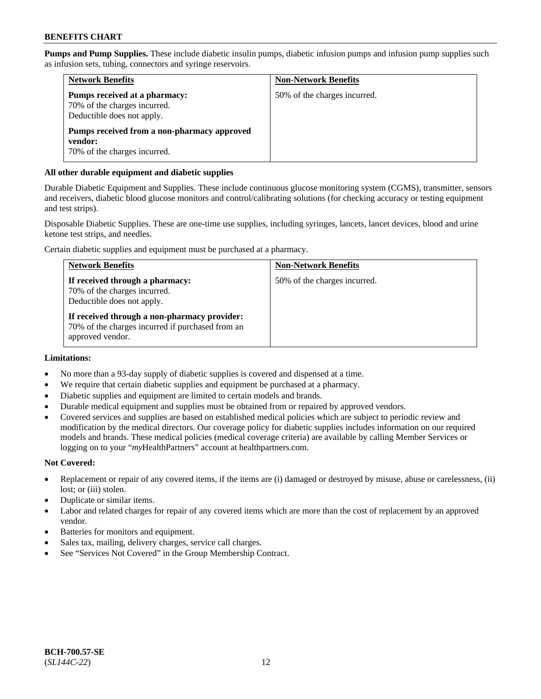**Pumps and Pump Supplies.** These include diabetic insulin pumps, diabetic infusion pumps and infusion pump supplies such as infusion sets, tubing, connectors and syringe reservoirs.

| <b>Network Benefits</b>                                                                     | <b>Non-Network Benefits</b>  |
|---------------------------------------------------------------------------------------------|------------------------------|
| Pumps received at a pharmacy:<br>70% of the charges incurred.<br>Deductible does not apply. | 50% of the charges incurred. |
| Pumps received from a non-pharmacy approved<br>vendor:<br>70% of the charges incurred.      |                              |

### **All other durable equipment and diabetic supplies**

Durable Diabetic Equipment and Supplies. These include continuous glucose monitoring system (CGMS), transmitter, sensors and receivers, diabetic blood glucose monitors and control/calibrating solutions (for checking accuracy or testing equipment and test strips).

Disposable Diabetic Supplies. These are one-time use supplies, including syringes, lancets, lancet devices, blood and urine ketone test strips, and needles.

Certain diabetic supplies and equipment must be purchased at a pharmacy.

| <b>Network Benefits</b>                                                                                              | <b>Non-Network Benefits</b>  |
|----------------------------------------------------------------------------------------------------------------------|------------------------------|
| If received through a pharmacy:<br>70% of the charges incurred.<br>Deductible does not apply.                        | 50% of the charges incurred. |
| If received through a non-pharmacy provider:<br>70% of the charges incurred if purchased from an<br>approved vendor. |                              |

### **Limitations:**

- No more than a 93-day supply of diabetic supplies is covered and dispensed at a time.
- We require that certain diabetic supplies and equipment be purchased at a pharmacy.
- Diabetic supplies and equipment are limited to certain models and brands.
- Durable medical equipment and supplies must be obtained from or repaired by approved vendors.
- Covered services and supplies are based on established medical policies which are subject to periodic review and modification by the medical directors. Our coverage policy for diabetic supplies includes information on our required models and brands. These medical policies (medical coverage criteria) are available by calling Member Services or logging on to your "*my*HealthPartners" account at [healthpartners.com.](http://www.healthpartners.com/)

### **Not Covered:**

- Replacement or repair of any covered items, if the items are (i) damaged or destroyed by misuse, abuse or carelessness, (ii) lost; or (iii) stolen.
- Duplicate or similar items.
- Labor and related charges for repair of any covered items which are more than the cost of replacement by an approved vendor.
- Batteries for monitors and equipment.
- Sales tax, mailing, delivery charges, service call charges.
- See "Services Not Covered" in the Group Membership Contract.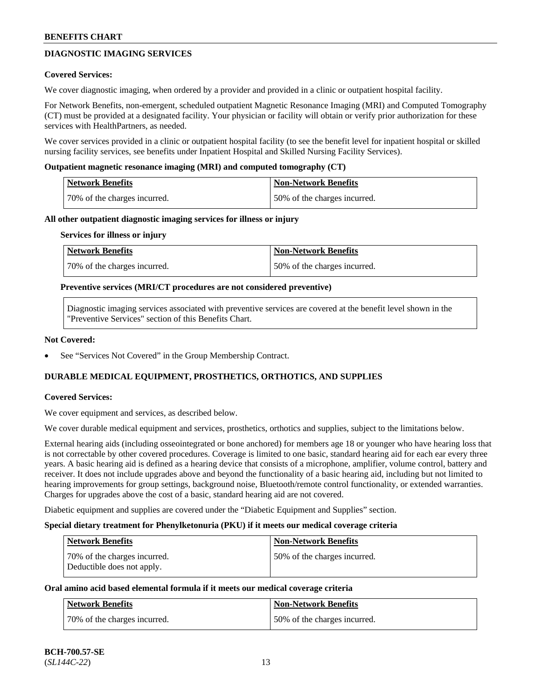## **DIAGNOSTIC IMAGING SERVICES**

### **Covered Services:**

We cover diagnostic imaging, when ordered by a provider and provided in a clinic or outpatient hospital facility.

For Network Benefits, non-emergent, scheduled outpatient Magnetic Resonance Imaging (MRI) and Computed Tomography (CT) must be provided at a designated facility. Your physician or facility will obtain or verify prior authorization for these services with HealthPartners, as needed.

We cover services provided in a clinic or outpatient hospital facility (to see the benefit level for inpatient hospital or skilled nursing facility services, see benefits under Inpatient Hospital and Skilled Nursing Facility Services).

#### **Outpatient magnetic resonance imaging (MRI) and computed tomography (CT)**

| Network Benefits             | Non-Network Benefits         |
|------------------------------|------------------------------|
| 70% of the charges incurred. | 50% of the charges incurred. |

#### **All other outpatient diagnostic imaging services for illness or injury**

#### **Services for illness or injury**

| Network Benefits             | Non-Network Benefits         |
|------------------------------|------------------------------|
| 70% of the charges incurred. | 50% of the charges incurred. |

#### **Preventive services (MRI/CT procedures are not considered preventive)**

Diagnostic imaging services associated with preventive services are covered at the benefit level shown in the "Preventive Services" section of this Benefits Chart.

#### **Not Covered:**

See "Services Not Covered" in the Group Membership Contract.

### **DURABLE MEDICAL EQUIPMENT, PROSTHETICS, ORTHOTICS, AND SUPPLIES**

### **Covered Services:**

We cover equipment and services, as described below.

We cover durable medical equipment and services, prosthetics, orthotics and supplies, subject to the limitations below.

External hearing aids (including osseointegrated or bone anchored) for members age 18 or younger who have hearing loss that is not correctable by other covered procedures. Coverage is limited to one basic, standard hearing aid for each ear every three years. A basic hearing aid is defined as a hearing device that consists of a microphone, amplifier, volume control, battery and receiver. It does not include upgrades above and beyond the functionality of a basic hearing aid, including but not limited to hearing improvements for group settings, background noise, Bluetooth/remote control functionality, or extended warranties. Charges for upgrades above the cost of a basic, standard hearing aid are not covered.

Diabetic equipment and supplies are covered under the "Diabetic Equipment and Supplies" section.

#### **Special dietary treatment for Phenylketonuria (PKU) if it meets our medical coverage criteria**

| <b>Network Benefits</b>                                    | <b>Non-Network Benefits</b>  |
|------------------------------------------------------------|------------------------------|
| 70% of the charges incurred.<br>Deductible does not apply. | 50% of the charges incurred. |

### **Oral amino acid based elemental formula if it meets our medical coverage criteria**

| Network Benefits             | Non-Network Benefits         |
|------------------------------|------------------------------|
| 70% of the charges incurred. | 50% of the charges incurred. |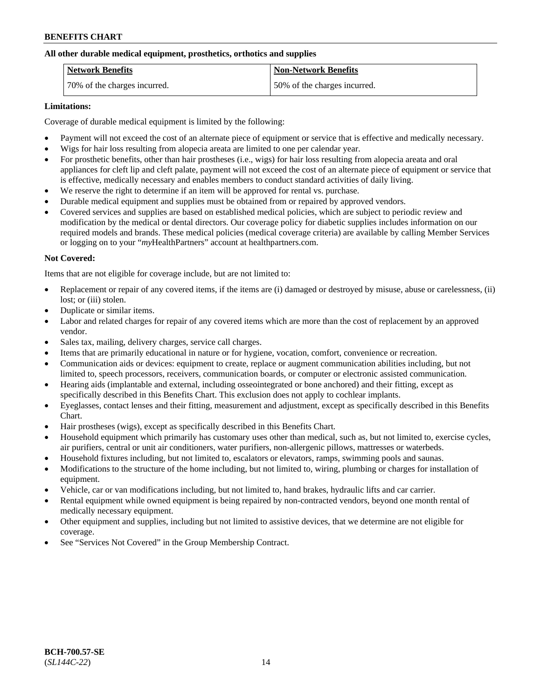### **All other durable medical equipment, prosthetics, orthotics and supplies**

| <b>Network Benefits</b>      | <b>Non-Network Benefits</b>  |
|------------------------------|------------------------------|
| 70% of the charges incurred. | 50% of the charges incurred. |

### **Limitations:**

Coverage of durable medical equipment is limited by the following:

- Payment will not exceed the cost of an alternate piece of equipment or service that is effective and medically necessary.
- Wigs for hair loss resulting from alopecia areata are limited to one per calendar year.
- For prosthetic benefits, other than hair prostheses (i.e., wigs) for hair loss resulting from alopecia areata and oral appliances for cleft lip and cleft palate, payment will not exceed the cost of an alternate piece of equipment or service that is effective, medically necessary and enables members to conduct standard activities of daily living.
- We reserve the right to determine if an item will be approved for rental vs. purchase.
- Durable medical equipment and supplies must be obtained from or repaired by approved vendors.
- Covered services and supplies are based on established medical policies, which are subject to periodic review and modification by the medical or dental directors. Our coverage policy for diabetic supplies includes information on our required models and brands. These medical policies (medical coverage criteria) are available by calling Member Services or logging on to your "*my*HealthPartners" account a[t healthpartners.com.](https://www.healthpartners.com/hp/index.html)

## **Not Covered:**

Items that are not eligible for coverage include, but are not limited to:

- Replacement or repair of any covered items, if the items are (i) damaged or destroyed by misuse, abuse or carelessness, (ii) lost; or (iii) stolen.
- Duplicate or similar items.
- Labor and related charges for repair of any covered items which are more than the cost of replacement by an approved vendor.
- Sales tax, mailing, delivery charges, service call charges.
- Items that are primarily educational in nature or for hygiene, vocation, comfort, convenience or recreation.
- Communication aids or devices: equipment to create, replace or augment communication abilities including, but not limited to, speech processors, receivers, communication boards, or computer or electronic assisted communication.
- Hearing aids (implantable and external, including osseointegrated or bone anchored) and their fitting, except as specifically described in this Benefits Chart. This exclusion does not apply to cochlear implants.
- Eyeglasses, contact lenses and their fitting, measurement and adjustment, except as specifically described in this Benefits Chart.
- Hair prostheses (wigs), except as specifically described in this Benefits Chart.
- Household equipment which primarily has customary uses other than medical, such as, but not limited to, exercise cycles, air purifiers, central or unit air conditioners, water purifiers, non-allergenic pillows, mattresses or waterbeds.
- Household fixtures including, but not limited to, escalators or elevators, ramps, swimming pools and saunas.
- Modifications to the structure of the home including, but not limited to, wiring, plumbing or charges for installation of equipment.
- Vehicle, car or van modifications including, but not limited to, hand brakes, hydraulic lifts and car carrier.
- Rental equipment while owned equipment is being repaired by non-contracted vendors, beyond one month rental of medically necessary equipment.
- Other equipment and supplies, including but not limited to assistive devices, that we determine are not eligible for coverage.
- See "Services Not Covered" in the Group Membership Contract.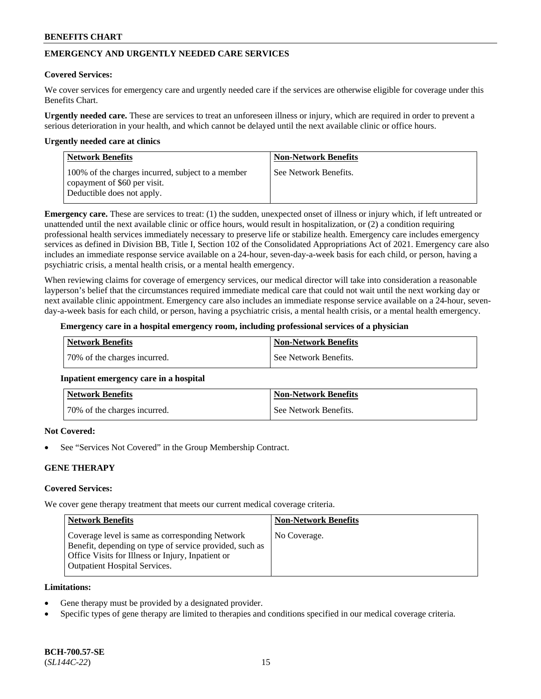## **EMERGENCY AND URGENTLY NEEDED CARE SERVICES**

#### **Covered Services:**

We cover services for emergency care and urgently needed care if the services are otherwise eligible for coverage under this Benefits Chart.

**Urgently needed care.** These are services to treat an unforeseen illness or injury, which are required in order to prevent a serious deterioration in your health, and which cannot be delayed until the next available clinic or office hours.

#### **Urgently needed care at clinics**

| <b>Network Benefits</b>                                                                                         | <b>Non-Network Benefits</b> |
|-----------------------------------------------------------------------------------------------------------------|-----------------------------|
| 100% of the charges incurred, subject to a member<br>copayment of \$60 per visit.<br>Deductible does not apply. | See Network Benefits.       |

**Emergency care.** These are services to treat: (1) the sudden, unexpected onset of illness or injury which, if left untreated or unattended until the next available clinic or office hours, would result in hospitalization, or (2) a condition requiring professional health services immediately necessary to preserve life or stabilize health. Emergency care includes emergency services as defined in Division BB, Title I, Section 102 of the Consolidated Appropriations Act of 2021. Emergency care also includes an immediate response service available on a 24-hour, seven-day-a-week basis for each child, or person, having a psychiatric crisis, a mental health crisis, or a mental health emergency.

When reviewing claims for coverage of emergency services, our medical director will take into consideration a reasonable layperson's belief that the circumstances required immediate medical care that could not wait until the next working day or next available clinic appointment. Emergency care also includes an immediate response service available on a 24-hour, sevenday-a-week basis for each child, or person, having a psychiatric crisis, a mental health crisis, or a mental health emergency.

#### **Emergency care in a hospital emergency room, including professional services of a physician**

| Network Benefits             | Non-Network Benefits  |
|------------------------------|-----------------------|
| 70% of the charges incurred. | See Network Benefits. |

### **Inpatient emergency care in a hospital**

| <b>Network Benefits</b>      | Non-Network Benefits  |
|------------------------------|-----------------------|
| 70% of the charges incurred. | See Network Benefits. |

### **Not Covered:**

See "Services Not Covered" in the Group Membership Contract.

### **GENE THERAPY**

## **Covered Services:**

We cover gene therapy treatment that meets our current medical coverage criteria.

| <b>Network Benefits</b>                                                                                                                                                                                 | <b>Non-Network Benefits</b> |
|---------------------------------------------------------------------------------------------------------------------------------------------------------------------------------------------------------|-----------------------------|
| Coverage level is same as corresponding Network<br>Benefit, depending on type of service provided, such as<br>Office Visits for Illness or Injury, Inpatient or<br><b>Outpatient Hospital Services.</b> | No Coverage.                |

#### **Limitations:**

- Gene therapy must be provided by a designated provider.
- Specific types of gene therapy are limited to therapies and conditions specified in our medical coverage criteria.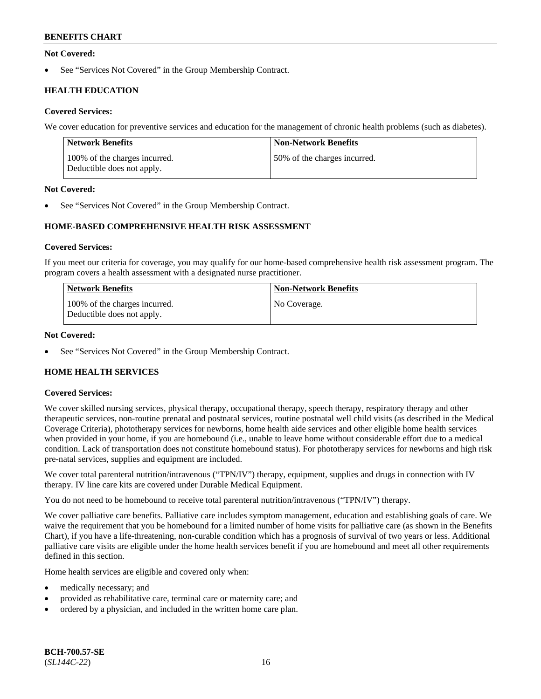### **Not Covered:**

See "Services Not Covered" in the Group Membership Contract.

## **HEALTH EDUCATION**

### **Covered Services:**

We cover education for preventive services and education for the management of chronic health problems (such as diabetes).

| <b>Network Benefits</b>                                     | <b>Non-Network Benefits</b>  |
|-------------------------------------------------------------|------------------------------|
| 100% of the charges incurred.<br>Deductible does not apply. | 50% of the charges incurred. |

### **Not Covered:**

See "Services Not Covered" in the Group Membership Contract.

## **HOME-BASED COMPREHENSIVE HEALTH RISK ASSESSMENT**

### **Covered Services:**

If you meet our criteria for coverage, you may qualify for our home-based comprehensive health risk assessment program. The program covers a health assessment with a designated nurse practitioner.

| <b>Network Benefits</b>                                     | <b>Non-Network Benefits</b> |
|-------------------------------------------------------------|-----------------------------|
| 100% of the charges incurred.<br>Deductible does not apply. | No Coverage.                |

### **Not Covered:**

See "Services Not Covered" in the Group Membership Contract.

## **HOME HEALTH SERVICES**

### **Covered Services:**

We cover skilled nursing services, physical therapy, occupational therapy, speech therapy, respiratory therapy and other therapeutic services, non-routine prenatal and postnatal services, routine postnatal well child visits (as described in the Medical Coverage Criteria), phototherapy services for newborns, home health aide services and other eligible home health services when provided in your home, if you are homebound (i.e., unable to leave home without considerable effort due to a medical condition. Lack of transportation does not constitute homebound status). For phototherapy services for newborns and high risk pre-natal services, supplies and equipment are included.

We cover total parenteral nutrition/intravenous ("TPN/IV") therapy, equipment, supplies and drugs in connection with IV therapy. IV line care kits are covered under Durable Medical Equipment.

You do not need to be homebound to receive total parenteral nutrition/intravenous ("TPN/IV") therapy.

We cover palliative care benefits. Palliative care includes symptom management, education and establishing goals of care. We waive the requirement that you be homebound for a limited number of home visits for palliative care (as shown in the Benefits Chart), if you have a life-threatening, non-curable condition which has a prognosis of survival of two years or less. Additional palliative care visits are eligible under the home health services benefit if you are homebound and meet all other requirements defined in this section.

Home health services are eligible and covered only when:

- medically necessary; and
- provided as rehabilitative care, terminal care or maternity care; and
- ordered by a physician, and included in the written home care plan.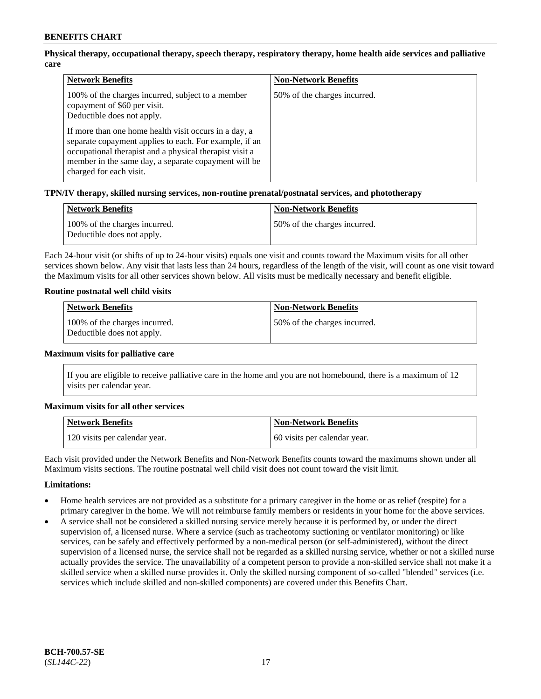## **Physical therapy, occupational therapy, speech therapy, respiratory therapy, home health aide services and palliative care**

| <b>Network Benefits</b>                                                                                                                                                                                                                                                                                                                                                          | <b>Non-Network Benefits</b>  |
|----------------------------------------------------------------------------------------------------------------------------------------------------------------------------------------------------------------------------------------------------------------------------------------------------------------------------------------------------------------------------------|------------------------------|
| 100% of the charges incurred, subject to a member<br>copayment of \$60 per visit.<br>Deductible does not apply.<br>If more than one home health visit occurs in a day, a<br>separate copayment applies to each. For example, if an<br>occupational therapist and a physical therapist visit a<br>member in the same day, a separate copayment will be<br>charged for each visit. | 50% of the charges incurred. |

### **TPN/IV therapy, skilled nursing services, non-routine prenatal/postnatal services, and phototherapy**

| <b>Network Benefits</b>                                     | <b>Non-Network Benefits</b>  |
|-------------------------------------------------------------|------------------------------|
| 100% of the charges incurred.<br>Deductible does not apply. | 50% of the charges incurred. |

Each 24-hour visit (or shifts of up to 24-hour visits) equals one visit and counts toward the Maximum visits for all other services shown below. Any visit that lasts less than 24 hours, regardless of the length of the visit, will count as one visit toward the Maximum visits for all other services shown below. All visits must be medically necessary and benefit eligible.

### **Routine postnatal well child visits**

| <b>Network Benefits</b>                                     | <b>Non-Network Benefits</b>  |
|-------------------------------------------------------------|------------------------------|
| 100% of the charges incurred.<br>Deductible does not apply. | 50% of the charges incurred. |

#### **Maximum visits for palliative care**

If you are eligible to receive palliative care in the home and you are not homebound, there is a maximum of 12 visits per calendar year.

### **Maximum visits for all other services**

| <b>Network Benefits</b>       | <b>Non-Network Benefits</b>  |
|-------------------------------|------------------------------|
| 120 visits per calendar year. | 60 visits per calendar year. |

Each visit provided under the Network Benefits and Non-Network Benefits counts toward the maximums shown under all Maximum visits sections. The routine postnatal well child visit does not count toward the visit limit.

### **Limitations:**

- Home health services are not provided as a substitute for a primary caregiver in the home or as relief (respite) for a primary caregiver in the home. We will not reimburse family members or residents in your home for the above services.
- A service shall not be considered a skilled nursing service merely because it is performed by, or under the direct supervision of, a licensed nurse. Where a service (such as tracheotomy suctioning or ventilator monitoring) or like services, can be safely and effectively performed by a non-medical person (or self-administered), without the direct supervision of a licensed nurse, the service shall not be regarded as a skilled nursing service, whether or not a skilled nurse actually provides the service. The unavailability of a competent person to provide a non-skilled service shall not make it a skilled service when a skilled nurse provides it. Only the skilled nursing component of so-called "blended" services (i.e. services which include skilled and non-skilled components) are covered under this Benefits Chart.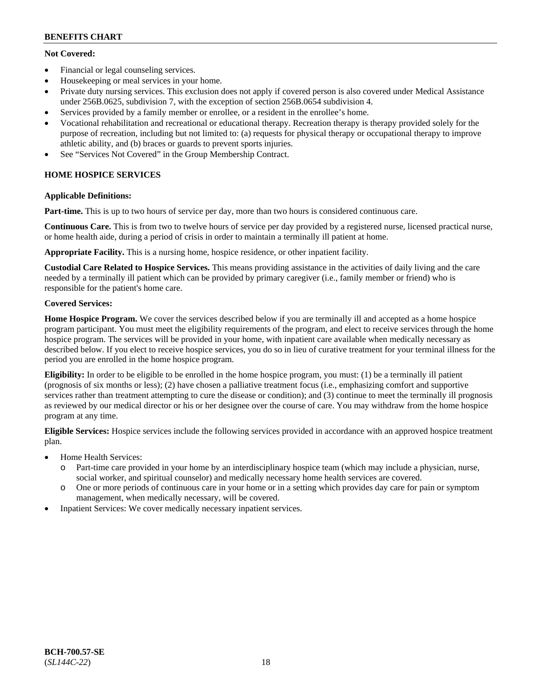## **Not Covered:**

- Financial or legal counseling services.
- Housekeeping or meal services in your home.
- Private duty nursing services. This exclusion does not apply if covered person is also covered under Medical Assistance under 256B.0625, subdivision 7, with the exception of section 256B.0654 subdivision 4.
- Services provided by a family member or enrollee, or a resident in the enrollee's home.
- Vocational rehabilitation and recreational or educational therapy. Recreation therapy is therapy provided solely for the purpose of recreation, including but not limited to: (a) requests for physical therapy or occupational therapy to improve athletic ability, and (b) braces or guards to prevent sports injuries.
- See "Services Not Covered" in the Group Membership Contract.

## **HOME HOSPICE SERVICES**

## **Applicable Definitions:**

**Part-time.** This is up to two hours of service per day, more than two hours is considered continuous care.

**Continuous Care.** This is from two to twelve hours of service per day provided by a registered nurse, licensed practical nurse, or home health aide, during a period of crisis in order to maintain a terminally ill patient at home.

**Appropriate Facility.** This is a nursing home, hospice residence, or other inpatient facility.

**Custodial Care Related to Hospice Services.** This means providing assistance in the activities of daily living and the care needed by a terminally ill patient which can be provided by primary caregiver (i.e., family member or friend) who is responsible for the patient's home care.

## **Covered Services:**

**Home Hospice Program.** We cover the services described below if you are terminally ill and accepted as a home hospice program participant. You must meet the eligibility requirements of the program, and elect to receive services through the home hospice program. The services will be provided in your home, with inpatient care available when medically necessary as described below. If you elect to receive hospice services, you do so in lieu of curative treatment for your terminal illness for the period you are enrolled in the home hospice program.

**Eligibility:** In order to be eligible to be enrolled in the home hospice program, you must: (1) be a terminally ill patient (prognosis of six months or less); (2) have chosen a palliative treatment focus (i.e., emphasizing comfort and supportive services rather than treatment attempting to cure the disease or condition); and (3) continue to meet the terminally ill prognosis as reviewed by our medical director or his or her designee over the course of care. You may withdraw from the home hospice program at any time.

**Eligible Services:** Hospice services include the following services provided in accordance with an approved hospice treatment plan.

- Home Health Services:
	- o Part-time care provided in your home by an interdisciplinary hospice team (which may include a physician, nurse, social worker, and spiritual counselor) and medically necessary home health services are covered.
	- o One or more periods of continuous care in your home or in a setting which provides day care for pain or symptom management, when medically necessary, will be covered.
- Inpatient Services: We cover medically necessary inpatient services.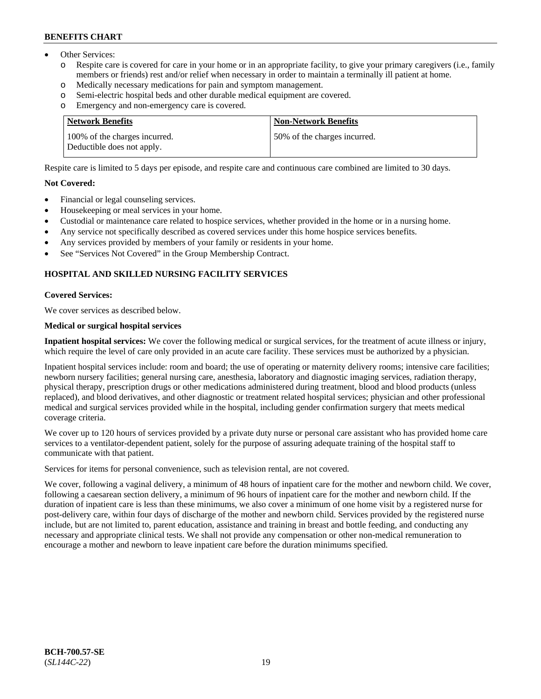- Other Services:
	- Respite care is covered for care in your home or in an appropriate facility, to give your primary caregivers (i.e., family members or friends) rest and/or relief when necessary in order to maintain a terminally ill patient at home.
	- o Medically necessary medications for pain and symptom management.
	- o Semi-electric hospital beds and other durable medical equipment are covered.
	- Emergency and non-emergency care is covered.

| Network Benefits                                            | <b>Non-Network Benefits</b>  |
|-------------------------------------------------------------|------------------------------|
| 100% of the charges incurred.<br>Deductible does not apply. | 50% of the charges incurred. |

Respite care is limited to 5 days per episode, and respite care and continuous care combined are limited to 30 days.

### **Not Covered:**

- Financial or legal counseling services.
- Housekeeping or meal services in your home.
- Custodial or maintenance care related to hospice services, whether provided in the home or in a nursing home.
- Any service not specifically described as covered services under this home hospice services benefits.
- Any services provided by members of your family or residents in your home.
- See "Services Not Covered" in the Group Membership Contract.

## **HOSPITAL AND SKILLED NURSING FACILITY SERVICES**

#### **Covered Services:**

We cover services as described below.

#### **Medical or surgical hospital services**

**Inpatient hospital services:** We cover the following medical or surgical services, for the treatment of acute illness or injury, which require the level of care only provided in an acute care facility. These services must be authorized by a physician.

Inpatient hospital services include: room and board; the use of operating or maternity delivery rooms; intensive care facilities; newborn nursery facilities; general nursing care, anesthesia, laboratory and diagnostic imaging services, radiation therapy, physical therapy, prescription drugs or other medications administered during treatment, blood and blood products (unless replaced), and blood derivatives, and other diagnostic or treatment related hospital services; physician and other professional medical and surgical services provided while in the hospital, including gender confirmation surgery that meets medical coverage criteria.

We cover up to 120 hours of services provided by a private duty nurse or personal care assistant who has provided home care services to a ventilator-dependent patient, solely for the purpose of assuring adequate training of the hospital staff to communicate with that patient.

Services for items for personal convenience, such as television rental, are not covered.

We cover, following a vaginal delivery, a minimum of 48 hours of inpatient care for the mother and newborn child. We cover, following a caesarean section delivery, a minimum of 96 hours of inpatient care for the mother and newborn child. If the duration of inpatient care is less than these minimums, we also cover a minimum of one home visit by a registered nurse for post-delivery care, within four days of discharge of the mother and newborn child. Services provided by the registered nurse include, but are not limited to, parent education, assistance and training in breast and bottle feeding, and conducting any necessary and appropriate clinical tests. We shall not provide any compensation or other non-medical remuneration to encourage a mother and newborn to leave inpatient care before the duration minimums specified.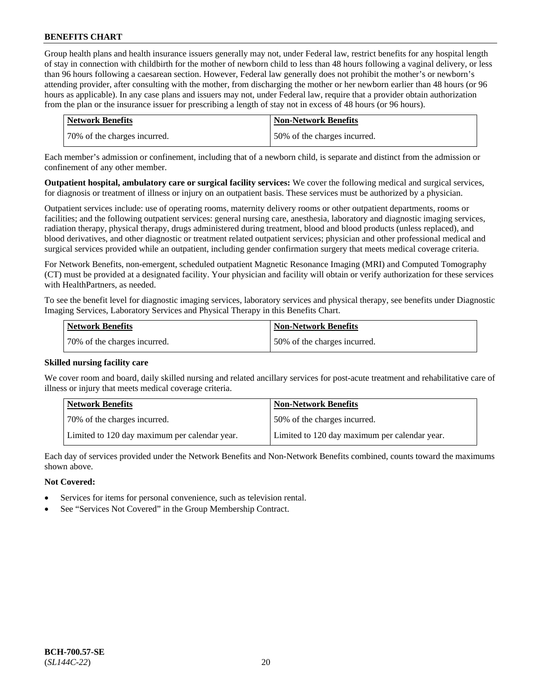Group health plans and health insurance issuers generally may not, under Federal law, restrict benefits for any hospital length of stay in connection with childbirth for the mother of newborn child to less than 48 hours following a vaginal delivery, or less than 96 hours following a caesarean section. However, Federal law generally does not prohibit the mother's or newborn's attending provider, after consulting with the mother, from discharging the mother or her newborn earlier than 48 hours (or 96 hours as applicable). In any case plans and issuers may not, under Federal law, require that a provider obtain authorization from the plan or the insurance issuer for prescribing a length of stay not in excess of 48 hours (or 96 hours).

| <b>Network Benefits</b>      | <b>Non-Network Benefits</b>  |
|------------------------------|------------------------------|
| 70% of the charges incurred. | 50% of the charges incurred. |

Each member's admission or confinement, including that of a newborn child, is separate and distinct from the admission or confinement of any other member.

**Outpatient hospital, ambulatory care or surgical facility services:** We cover the following medical and surgical services, for diagnosis or treatment of illness or injury on an outpatient basis. These services must be authorized by a physician.

Outpatient services include: use of operating rooms, maternity delivery rooms or other outpatient departments, rooms or facilities; and the following outpatient services: general nursing care, anesthesia, laboratory and diagnostic imaging services, radiation therapy, physical therapy, drugs administered during treatment, blood and blood products (unless replaced), and blood derivatives, and other diagnostic or treatment related outpatient services; physician and other professional medical and surgical services provided while an outpatient, including gender confirmation surgery that meets medical coverage criteria.

For Network Benefits, non-emergent, scheduled outpatient Magnetic Resonance Imaging (MRI) and Computed Tomography (CT) must be provided at a designated facility. Your physician and facility will obtain or verify authorization for these services with HealthPartners, as needed.

To see the benefit level for diagnostic imaging services, laboratory services and physical therapy, see benefits under Diagnostic Imaging Services, Laboratory Services and Physical Therapy in this Benefits Chart.

| <b>Network Benefits</b>       | Non-Network Benefits         |
|-------------------------------|------------------------------|
| 170% of the charges incurred. | 50% of the charges incurred. |

### **Skilled nursing facility care**

We cover room and board, daily skilled nursing and related ancillary services for post-acute treatment and rehabilitative care of illness or injury that meets medical coverage criteria.

| Network Benefits                              | <b>Non-Network Benefits</b>                   |
|-----------------------------------------------|-----------------------------------------------|
| 70% of the charges incurred.                  | 50% of the charges incurred.                  |
| Limited to 120 day maximum per calendar year. | Limited to 120 day maximum per calendar year. |

Each day of services provided under the Network Benefits and Non-Network Benefits combined, counts toward the maximums shown above.

### **Not Covered:**

- Services for items for personal convenience, such as television rental.
- See "Services Not Covered" in the Group Membership Contract.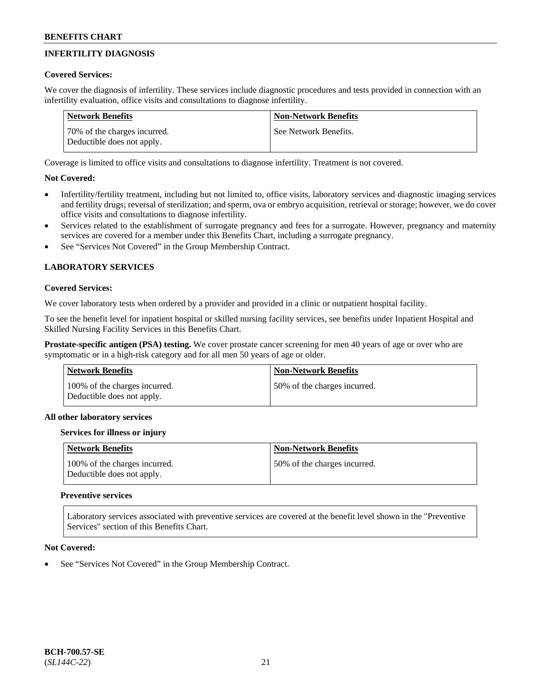## **INFERTILITY DIAGNOSIS**

### **Covered Services:**

We cover the diagnosis of infertility. These services include diagnostic procedures and tests provided in connection with an infertility evaluation, office visits and consultations to diagnose infertility.

| Network Benefits                                           | <b>Non-Network Benefits</b> |
|------------------------------------------------------------|-----------------------------|
| 70% of the charges incurred.<br>Deductible does not apply. | See Network Benefits.       |

Coverage is limited to office visits and consultations to diagnose infertility. Treatment is not covered.

## **Not Covered:**

- Infertility/fertility treatment, including but not limited to, office visits, laboratory services and diagnostic imaging services and fertility drugs; reversal of sterilization; and sperm, ova or embryo acquisition, retrieval or storage; however, we do cover office visits and consultations to diagnose infertility.
- Services related to the establishment of surrogate pregnancy and fees for a surrogate. However, pregnancy and maternity services are covered for a member under this Benefits Chart, including a surrogate pregnancy.
- See "Services Not Covered" in the Group Membership Contract.

## **LABORATORY SERVICES**

#### **Covered Services:**

We cover laboratory tests when ordered by a provider and provided in a clinic or outpatient hospital facility.

To see the benefit level for inpatient hospital or skilled nursing facility services, see benefits under Inpatient Hospital and Skilled Nursing Facility Services in this Benefits Chart.

**Prostate-specific antigen (PSA) testing.** We cover prostate cancer screening for men 40 years of age or over who are symptomatic or in a high-risk category and for all men 50 years of age or older.

| Network Benefits                                            | <b>Non-Network Benefits</b>  |
|-------------------------------------------------------------|------------------------------|
| 100% of the charges incurred.<br>Deductible does not apply. | 50% of the charges incurred. |

### **All other laboratory services**

### **Services for illness or injury**

| Network Benefits                                            | <b>Non-Network Benefits</b>   |
|-------------------------------------------------------------|-------------------------------|
| 100% of the charges incurred.<br>Deductible does not apply. | 150% of the charges incurred. |

### **Preventive services**

Laboratory services associated with preventive services are covered at the benefit level shown in the "Preventive Services" section of this Benefits Chart.

### **Not Covered:**

See "Services Not Covered" in the Group Membership Contract.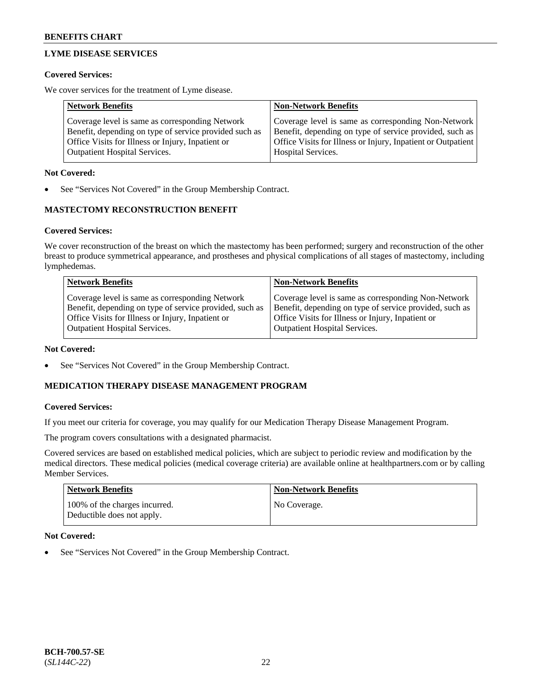## **LYME DISEASE SERVICES**

#### **Covered Services:**

We cover services for the treatment of Lyme disease.

| <b>Network Benefits</b>                                | <b>Non-Network Benefits</b>                                  |
|--------------------------------------------------------|--------------------------------------------------------------|
| Coverage level is same as corresponding Network        | Coverage level is same as corresponding Non-Network          |
| Benefit, depending on type of service provided such as | Benefit, depending on type of service provided, such as      |
| Office Visits for Illness or Injury, Inpatient or      | Office Visits for Illness or Injury, Inpatient or Outpatient |
| <b>Outpatient Hospital Services.</b>                   | Hospital Services.                                           |

#### **Not Covered:**

See "Services Not Covered" in the Group Membership Contract.

### **MASTECTOMY RECONSTRUCTION BENEFIT**

#### **Covered Services:**

We cover reconstruction of the breast on which the mastectomy has been performed; surgery and reconstruction of the other breast to produce symmetrical appearance, and prostheses and physical complications of all stages of mastectomy, including lymphedemas.

| <b>Network Benefits</b>                                 | <b>Non-Network Benefits</b>                             |
|---------------------------------------------------------|---------------------------------------------------------|
| Coverage level is same as corresponding Network         | Coverage level is same as corresponding Non-Network     |
| Benefit, depending on type of service provided, such as | Benefit, depending on type of service provided, such as |
| Office Visits for Illness or Injury, Inpatient or       | Office Visits for Illness or Injury, Inpatient or       |
| <b>Outpatient Hospital Services.</b>                    | <b>Outpatient Hospital Services.</b>                    |

#### **Not Covered:**

See "Services Not Covered" in the Group Membership Contract.

### **MEDICATION THERAPY DISEASE MANAGEMENT PROGRAM**

#### **Covered Services:**

If you meet our criteria for coverage, you may qualify for our Medication Therapy Disease Management Program.

The program covers consultations with a designated pharmacist.

Covered services are based on established medical policies, which are subject to periodic review and modification by the medical directors. These medical policies (medical coverage criteria) are available online at [healthpartners.com](https://www.healthpartners.com/hp/index.html) or by calling Member Services.

| <b>Network Benefits</b>                                     | <b>Non-Network Benefits</b> |
|-------------------------------------------------------------|-----------------------------|
| 100% of the charges incurred.<br>Deductible does not apply. | No Coverage.                |

### **Not Covered:**

See "Services Not Covered" in the Group Membership Contract.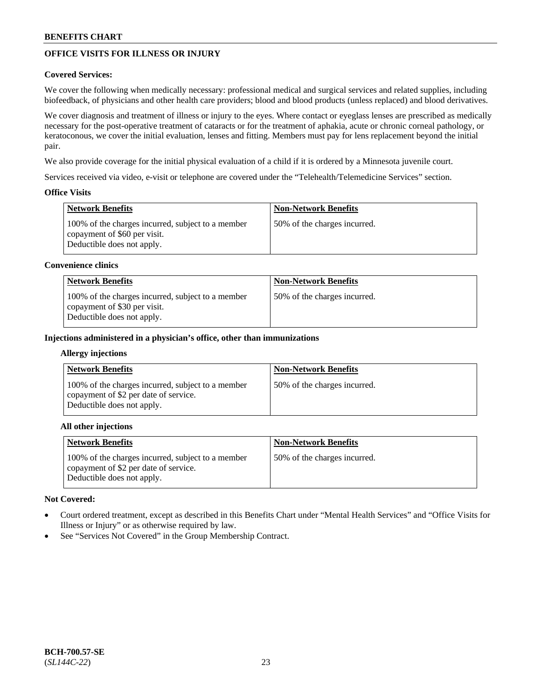## **OFFICE VISITS FOR ILLNESS OR INJURY**

### **Covered Services:**

We cover the following when medically necessary: professional medical and surgical services and related supplies, including biofeedback, of physicians and other health care providers; blood and blood products (unless replaced) and blood derivatives.

We cover diagnosis and treatment of illness or injury to the eyes. Where contact or eyeglass lenses are prescribed as medically necessary for the post-operative treatment of cataracts or for the treatment of aphakia, acute or chronic corneal pathology, or keratoconous, we cover the initial evaluation, lenses and fitting. Members must pay for lens replacement beyond the initial pair.

We also provide coverage for the initial physical evaluation of a child if it is ordered by a Minnesota juvenile court.

Services received via video, e-visit or telephone are covered under the "Telehealth/Telemedicine Services" section.

### **Office Visits**

| Network Benefits                                                                                                | <b>Non-Network Benefits</b>  |
|-----------------------------------------------------------------------------------------------------------------|------------------------------|
| 100% of the charges incurred, subject to a member<br>copayment of \$60 per visit.<br>Deductible does not apply. | 50% of the charges incurred. |

#### **Convenience clinics**

| <b>Network Benefits</b>                                                                                         | <b>Non-Network Benefits</b>  |
|-----------------------------------------------------------------------------------------------------------------|------------------------------|
| 100% of the charges incurred, subject to a member<br>copayment of \$30 per visit.<br>Deductible does not apply. | 50% of the charges incurred. |

#### **Injections administered in a physician's office, other than immunizations**

#### **Allergy injections**

| <b>Network Benefits</b>                                                                                                  | <b>Non-Network Benefits</b>  |
|--------------------------------------------------------------------------------------------------------------------------|------------------------------|
| 100% of the charges incurred, subject to a member<br>copayment of \$2 per date of service.<br>Deductible does not apply. | 50% of the charges incurred. |

#### **All other injections**

| <b>Network Benefits</b>                                                                                                  | <b>Non-Network Benefits</b>  |
|--------------------------------------------------------------------------------------------------------------------------|------------------------------|
| 100% of the charges incurred, subject to a member<br>copayment of \$2 per date of service.<br>Deductible does not apply. | 50% of the charges incurred. |

### **Not Covered:**

- Court ordered treatment, except as described in this Benefits Chart under "Mental Health Services" and "Office Visits for Illness or Injury" or as otherwise required by law.
- See "Services Not Covered" in the Group Membership Contract.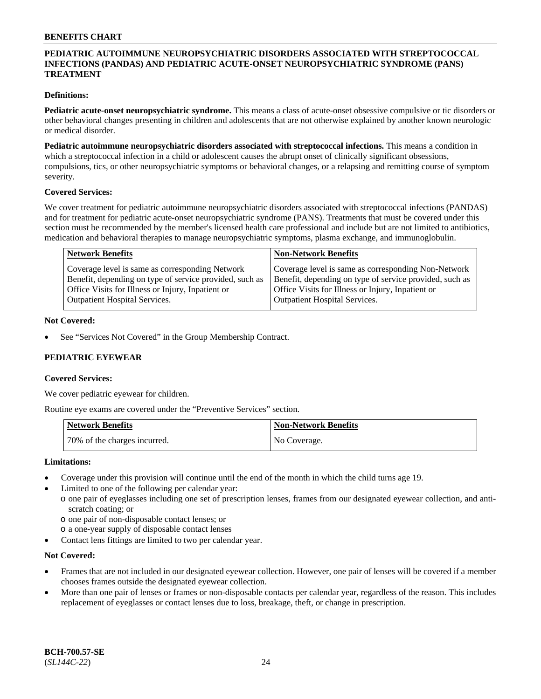### **PEDIATRIC AUTOIMMUNE NEUROPSYCHIATRIC DISORDERS ASSOCIATED WITH STREPTOCOCCAL INFECTIONS (PANDAS) AND PEDIATRIC ACUTE-ONSET NEUROPSYCHIATRIC SYNDROME (PANS) TREATMENT**

### **Definitions:**

**Pediatric acute-onset neuropsychiatric syndrome.** This means a class of acute-onset obsessive compulsive or tic disorders or other behavioral changes presenting in children and adolescents that are not otherwise explained by another known neurologic or medical disorder.

**Pediatric autoimmune neuropsychiatric disorders associated with streptococcal infections.** This means a condition in which a streptococcal infection in a child or adolescent causes the abrupt onset of clinically significant obsessions, compulsions, tics, or other neuropsychiatric symptoms or behavioral changes, or a relapsing and remitting course of symptom severity.

#### **Covered Services:**

We cover treatment for pediatric autoimmune neuropsychiatric disorders associated with streptococcal infections (PANDAS) and for treatment for pediatric acute-onset neuropsychiatric syndrome (PANS). Treatments that must be covered under this section must be recommended by the member's licensed health care professional and include but are not limited to antibiotics, medication and behavioral therapies to manage neuropsychiatric symptoms, plasma exchange, and immunoglobulin.

| <b>Network Benefits</b>                                 | <b>Non-Network Benefits</b>                             |
|---------------------------------------------------------|---------------------------------------------------------|
| Coverage level is same as corresponding Network         | Coverage level is same as corresponding Non-Network     |
| Benefit, depending on type of service provided, such as | Benefit, depending on type of service provided, such as |
| Office Visits for Illness or Injury, Inpatient or       | Office Visits for Illness or Injury, Inpatient or       |
| <b>Outpatient Hospital Services.</b>                    | <b>Outpatient Hospital Services.</b>                    |

#### **Not Covered:**

See "Services Not Covered" in the Group Membership Contract.

### **PEDIATRIC EYEWEAR**

#### **Covered Services:**

We cover pediatric eyewear for children.

Routine eye exams are covered under the "Preventive Services" section.

| Network Benefits             | Non-Network Benefits |
|------------------------------|----------------------|
| 70% of the charges incurred. | No Coverage.         |

#### **Limitations:**

- Coverage under this provision will continue until the end of the month in which the child turns age 19.
- Limited to one of the following per calendar year:
	- o one pair of eyeglasses including one set of prescription lenses, frames from our designated eyewear collection, and antiscratch coating; or
		- o one pair of non-disposable contact lenses; or
		- o a one-year supply of disposable contact lenses
- Contact lens fittings are limited to two per calendar year.

### **Not Covered:**

- Frames that are not included in our designated eyewear collection. However, one pair of lenses will be covered if a member chooses frames outside the designated eyewear collection.
- More than one pair of lenses or frames or non-disposable contacts per calendar year, regardless of the reason. This includes replacement of eyeglasses or contact lenses due to loss, breakage, theft, or change in prescription.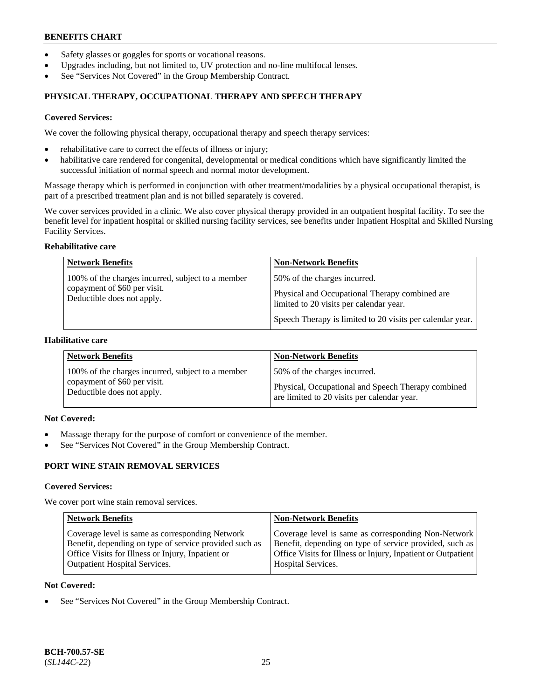- Safety glasses or goggles for sports or vocational reasons.
- Upgrades including, but not limited to, UV protection and no-line multifocal lenses.
- See "Services Not Covered" in the Group Membership Contract.

## **PHYSICAL THERAPY, OCCUPATIONAL THERAPY AND SPEECH THERAPY**

#### **Covered Services:**

We cover the following physical therapy, occupational therapy and speech therapy services:

- rehabilitative care to correct the effects of illness or injury;
- habilitative care rendered for congenital, developmental or medical conditions which have significantly limited the successful initiation of normal speech and normal motor development.

Massage therapy which is performed in conjunction with other treatment/modalities by a physical occupational therapist, is part of a prescribed treatment plan and is not billed separately is covered.

We cover services provided in a clinic. We also cover physical therapy provided in an outpatient hospital facility. To see the benefit level for inpatient hospital or skilled nursing facility services, see benefits under Inpatient Hospital and Skilled Nursing Facility Services.

#### **Rehabilitative care**

| <b>Network Benefits</b>                                                                                         | <b>Non-Network Benefits</b>                                                                                                                                                            |
|-----------------------------------------------------------------------------------------------------------------|----------------------------------------------------------------------------------------------------------------------------------------------------------------------------------------|
| 100% of the charges incurred, subject to a member<br>copayment of \$60 per visit.<br>Deductible does not apply. | 50% of the charges incurred.<br>Physical and Occupational Therapy combined are<br>limited to 20 visits per calendar year.<br>Speech Therapy is limited to 20 visits per calendar year. |

### **Habilitative care**

| <b>Network Benefits</b>                           | <b>Non-Network Benefits</b>                        |
|---------------------------------------------------|----------------------------------------------------|
| 100% of the charges incurred, subject to a member | 50% of the charges incurred.                       |
| copayment of \$60 per visit.                      | Physical, Occupational and Speech Therapy combined |
| Deductible does not apply.                        | are limited to 20 visits per calendar year.        |

## **Not Covered:**

- Massage therapy for the purpose of comfort or convenience of the member.
- See "Services Not Covered" in the Group Membership Contract.

## **PORT WINE STAIN REMOVAL SERVICES**

#### **Covered Services:**

We cover port wine stain removal services.

| <b>Network Benefits</b>                                | <b>Non-Network Benefits</b>                                  |
|--------------------------------------------------------|--------------------------------------------------------------|
| Coverage level is same as corresponding Network        | Coverage level is same as corresponding Non-Network          |
| Benefit, depending on type of service provided such as | Benefit, depending on type of service provided, such as      |
| Office Visits for Illness or Injury, Inpatient or      | Office Visits for Illness or Injury, Inpatient or Outpatient |
| <b>Outpatient Hospital Services.</b>                   | Hospital Services.                                           |

#### **Not Covered:**

See "Services Not Covered" in the Group Membership Contract.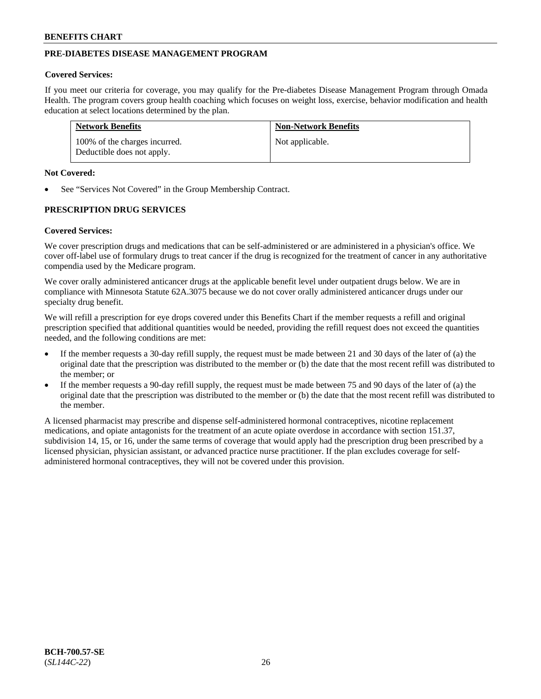## **PRE-DIABETES DISEASE MANAGEMENT PROGRAM**

#### **Covered Services:**

If you meet our criteria for coverage, you may qualify for the Pre-diabetes Disease Management Program through Omada Health. The program covers group health coaching which focuses on weight loss, exercise, behavior modification and health education at select locations determined by the plan.

| <b>Network Benefits</b>                                     | <b>Non-Network Benefits</b> |
|-------------------------------------------------------------|-----------------------------|
| 100% of the charges incurred.<br>Deductible does not apply. | Not applicable.             |

#### **Not Covered:**

See "Services Not Covered" in the Group Membership Contract.

### **PRESCRIPTION DRUG SERVICES**

#### **Covered Services:**

We cover prescription drugs and medications that can be self-administered or are administered in a physician's office. We cover off-label use of formulary drugs to treat cancer if the drug is recognized for the treatment of cancer in any authoritative compendia used by the Medicare program.

We cover orally administered anticancer drugs at the applicable benefit level under outpatient drugs below. We are in compliance with Minnesota Statute 62A.3075 because we do not cover orally administered anticancer drugs under our specialty drug benefit.

We will refill a prescription for eye drops covered under this Benefits Chart if the member requests a refill and original prescription specified that additional quantities would be needed, providing the refill request does not exceed the quantities needed, and the following conditions are met:

- If the member requests a 30-day refill supply, the request must be made between 21 and 30 days of the later of (a) the original date that the prescription was distributed to the member or (b) the date that the most recent refill was distributed to the member; or
- If the member requests a 90-day refill supply, the request must be made between 75 and 90 days of the later of (a) the original date that the prescription was distributed to the member or (b) the date that the most recent refill was distributed to the member.

A licensed pharmacist may prescribe and dispense self-administered hormonal contraceptives, nicotine replacement medications, and opiate antagonists for the treatment of an acute opiate overdose in accordance with section 151.37, subdivision 14, 15, or 16, under the same terms of coverage that would apply had the prescription drug been prescribed by a licensed physician, physician assistant, or advanced practice nurse practitioner. If the plan excludes coverage for selfadministered hormonal contraceptives, they will not be covered under this provision.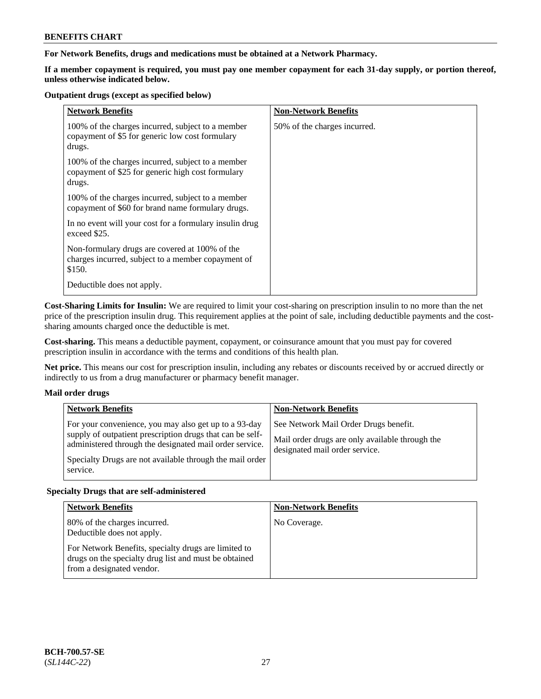### **For Network Benefits, drugs and medications must be obtained at a Network Pharmacy.**

**If a member copayment is required, you must pay one member copayment for each 31-day supply, or portion thereof, unless otherwise indicated below.**

#### **Outpatient drugs (except as specified below)**

| <b>Network Benefits</b>                                                                                          | <b>Non-Network Benefits</b>  |
|------------------------------------------------------------------------------------------------------------------|------------------------------|
| 100% of the charges incurred, subject to a member<br>copayment of \$5 for generic low cost formulary<br>drugs.   | 50% of the charges incurred. |
| 100% of the charges incurred, subject to a member<br>copayment of \$25 for generic high cost formulary<br>drugs. |                              |
| 100% of the charges incurred, subject to a member<br>copayment of \$60 for brand name formulary drugs.           |                              |
| In no event will your cost for a formulary insulin drug<br>exceed \$25.                                          |                              |
| Non-formulary drugs are covered at 100% of the<br>charges incurred, subject to a member copayment of<br>\$150.   |                              |
| Deductible does not apply.                                                                                       |                              |

**Cost-Sharing Limits for Insulin:** We are required to limit your cost-sharing on prescription insulin to no more than the net price of the prescription insulin drug. This requirement applies at the point of sale, including deductible payments and the costsharing amounts charged once the deductible is met.

**Cost-sharing.** This means a deductible payment, copayment, or coinsurance amount that you must pay for covered prescription insulin in accordance with the terms and conditions of this health plan.

**Net price.** This means our cost for prescription insulin, including any rebates or discounts received by or accrued directly or indirectly to us from a drug manufacturer or pharmacy benefit manager.

### **Mail order drugs**

| <b>Network Benefits</b>                                                                                                                                                                                                                               | <b>Non-Network Benefits</b>                                                                                                |
|-------------------------------------------------------------------------------------------------------------------------------------------------------------------------------------------------------------------------------------------------------|----------------------------------------------------------------------------------------------------------------------------|
| For your convenience, you may also get up to a 93-day<br>supply of outpatient prescription drugs that can be self-<br>administered through the designated mail order service.<br>Specialty Drugs are not available through the mail order<br>service. | See Network Mail Order Drugs benefit.<br>Mail order drugs are only available through the<br>designated mail order service. |

### **Specialty Drugs that are self-administered**

| <b>Network Benefits</b>                                                                                                                    | <b>Non-Network Benefits</b> |
|--------------------------------------------------------------------------------------------------------------------------------------------|-----------------------------|
| 80% of the charges incurred.<br>Deductible does not apply.                                                                                 | No Coverage.                |
| For Network Benefits, specialty drugs are limited to<br>drugs on the specialty drug list and must be obtained<br>from a designated vendor. |                             |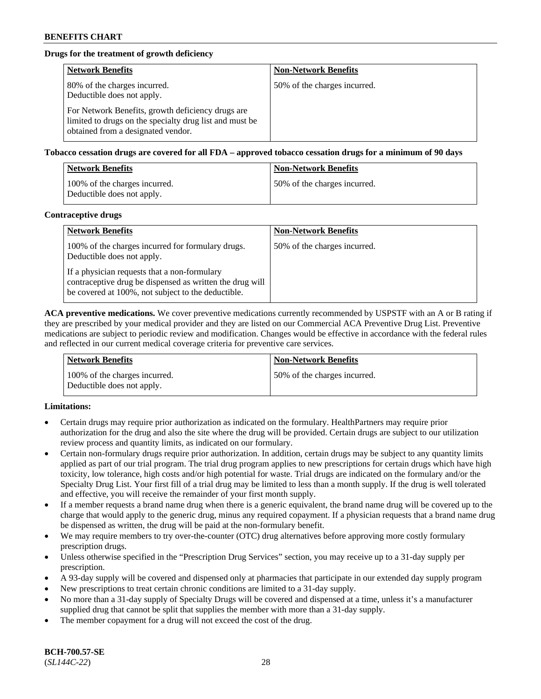## **Drugs for the treatment of growth deficiency**

| <b>Network Benefits</b>                                                                                                                            | <b>Non-Network Benefits</b>  |
|----------------------------------------------------------------------------------------------------------------------------------------------------|------------------------------|
| 80% of the charges incurred.<br>Deductible does not apply.                                                                                         | 50% of the charges incurred. |
| For Network Benefits, growth deficiency drugs are<br>limited to drugs on the specialty drug list and must be<br>obtained from a designated vendor. |                              |

**Tobacco cessation drugs are covered for all FDA – approved tobacco cessation drugs for a minimum of 90 days**

| <b>Network Benefits</b>                                     | <b>Non-Network Benefits</b>  |
|-------------------------------------------------------------|------------------------------|
| 100% of the charges incurred.<br>Deductible does not apply. | 50% of the charges incurred. |

#### **Contraceptive drugs**

| <b>Network Benefits</b>                                                                                                                                        | <b>Non-Network Benefits</b>  |
|----------------------------------------------------------------------------------------------------------------------------------------------------------------|------------------------------|
| 100% of the charges incurred for formulary drugs.<br>Deductible does not apply.                                                                                | 50% of the charges incurred. |
| If a physician requests that a non-formulary<br>contraceptive drug be dispensed as written the drug will<br>be covered at 100%, not subject to the deductible. |                              |

**ACA preventive medications.** We cover preventive medications currently recommended by USPSTF with an A or B rating if they are prescribed by your medical provider and they are listed on our Commercial ACA Preventive Drug List. Preventive medications are subject to periodic review and modification. Changes would be effective in accordance with the federal rules and reflected in our current medical coverage criteria for preventive care services.

| Network Benefits                                            | <b>Non-Network Benefits</b>  |
|-------------------------------------------------------------|------------------------------|
| 100% of the charges incurred.<br>Deductible does not apply. | 50% of the charges incurred. |

### **Limitations:**

- Certain drugs may require prior authorization as indicated on the formulary. HealthPartners may require prior authorization for the drug and also the site where the drug will be provided. Certain drugs are subject to our utilization review process and quantity limits, as indicated on our formulary.
- Certain non-formulary drugs require prior authorization. In addition, certain drugs may be subject to any quantity limits applied as part of our trial program. The trial drug program applies to new prescriptions for certain drugs which have high toxicity, low tolerance, high costs and/or high potential for waste. Trial drugs are indicated on the formulary and/or the Specialty Drug List. Your first fill of a trial drug may be limited to less than a month supply. If the drug is well tolerated and effective, you will receive the remainder of your first month supply.
- If a member requests a brand name drug when there is a generic equivalent, the brand name drug will be covered up to the charge that would apply to the generic drug, minus any required copayment. If a physician requests that a brand name drug be dispensed as written, the drug will be paid at the non-formulary benefit.
- We may require members to try over-the-counter (OTC) drug alternatives before approving more costly formulary prescription drugs.
- Unless otherwise specified in the "Prescription Drug Services" section, you may receive up to a 31-day supply per prescription.
- A 93-day supply will be covered and dispensed only at pharmacies that participate in our extended day supply program
- New prescriptions to treat certain chronic conditions are limited to a 31-day supply.
- No more than a 31-day supply of Specialty Drugs will be covered and dispensed at a time, unless it's a manufacturer supplied drug that cannot be split that supplies the member with more than a 31-day supply.
- The member copayment for a drug will not exceed the cost of the drug.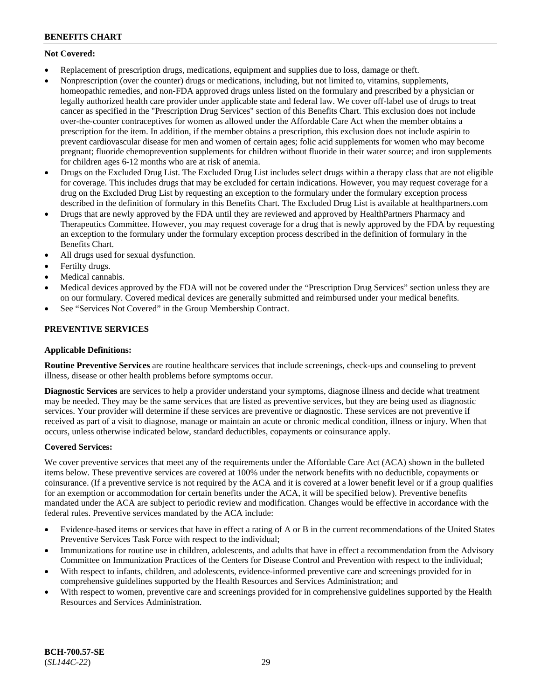## **Not Covered:**

- Replacement of prescription drugs, medications, equipment and supplies due to loss, damage or theft.
- Nonprescription (over the counter) drugs or medications, including, but not limited to, vitamins, supplements, homeopathic remedies, and non-FDA approved drugs unless listed on the formulary and prescribed by a physician or legally authorized health care provider under applicable state and federal law. We cover off-label use of drugs to treat cancer as specified in the "Prescription Drug Services" section of this Benefits Chart. This exclusion does not include over-the-counter contraceptives for women as allowed under the Affordable Care Act when the member obtains a prescription for the item. In addition, if the member obtains a prescription, this exclusion does not include aspirin to prevent cardiovascular disease for men and women of certain ages; folic acid supplements for women who may become pregnant; fluoride chemoprevention supplements for children without fluoride in their water source; and iron supplements for children ages 6-12 months who are at risk of anemia.
- Drugs on the Excluded Drug List. The Excluded Drug List includes select drugs within a therapy class that are not eligible for coverage. This includes drugs that may be excluded for certain indications. However, you may request coverage for a drug on the Excluded Drug List by requesting an exception to the formulary under the formulary exception process described in the definition of formulary in this Benefits Chart. The Excluded Drug List is available at [healthpartners.com](http://www.healthpartners.com/)
- Drugs that are newly approved by the FDA until they are reviewed and approved by HealthPartners Pharmacy and Therapeutics Committee. However, you may request coverage for a drug that is newly approved by the FDA by requesting an exception to the formulary under the formulary exception process described in the definition of formulary in the Benefits Chart.
- All drugs used for sexual dysfunction.
- Fertilty drugs.
- Medical cannabis.
- Medical devices approved by the FDA will not be covered under the "Prescription Drug Services" section unless they are on our formulary. Covered medical devices are generally submitted and reimbursed under your medical benefits.
- See "Services Not Covered" in the Group Membership Contract.

## **PREVENTIVE SERVICES**

### **Applicable Definitions:**

**Routine Preventive Services** are routine healthcare services that include screenings, check-ups and counseling to prevent illness, disease or other health problems before symptoms occur.

**Diagnostic Services** are services to help a provider understand your symptoms, diagnose illness and decide what treatment may be needed. They may be the same services that are listed as preventive services, but they are being used as diagnostic services. Your provider will determine if these services are preventive or diagnostic. These services are not preventive if received as part of a visit to diagnose, manage or maintain an acute or chronic medical condition, illness or injury. When that occurs, unless otherwise indicated below, standard deductibles, copayments or coinsurance apply.

### **Covered Services:**

We cover preventive services that meet any of the requirements under the Affordable Care Act (ACA) shown in the bulleted items below. These preventive services are covered at 100% under the network benefits with no deductible, copayments or coinsurance. (If a preventive service is not required by the ACA and it is covered at a lower benefit level or if a group qualifies for an exemption or accommodation for certain benefits under the ACA, it will be specified below). Preventive benefits mandated under the ACA are subject to periodic review and modification. Changes would be effective in accordance with the federal rules. Preventive services mandated by the ACA include:

- Evidence-based items or services that have in effect a rating of A or B in the current recommendations of the United States Preventive Services Task Force with respect to the individual;
- Immunizations for routine use in children, adolescents, and adults that have in effect a recommendation from the Advisory Committee on Immunization Practices of the Centers for Disease Control and Prevention with respect to the individual;
- With respect to infants, children, and adolescents, evidence-informed preventive care and screenings provided for in comprehensive guidelines supported by the Health Resources and Services Administration; and
- With respect to women, preventive care and screenings provided for in comprehensive guidelines supported by the Health Resources and Services Administration.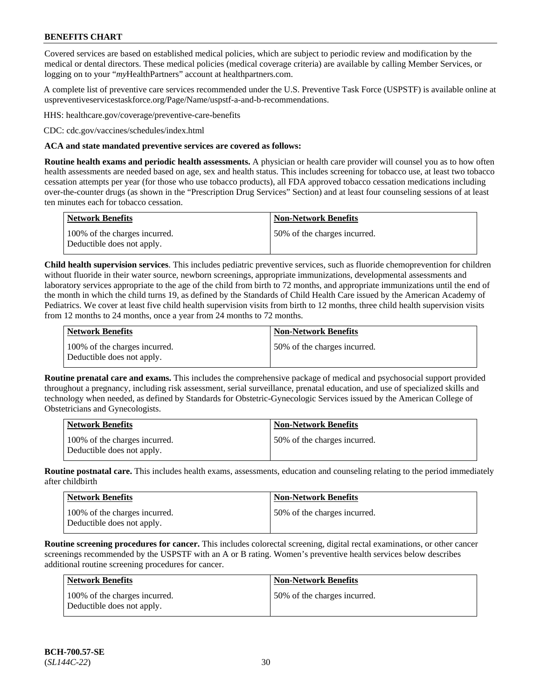Covered services are based on established medical policies, which are subject to periodic review and modification by the medical or dental directors. These medical policies (medical coverage criteria) are available by calling Member Services, or logging on to your "*my*HealthPartners" account at [healthpartners.com.](http://www.healthpartners.com/)

A complete list of preventive care services recommended under the U.S. Preventive Task Force (USPSTF) is available online at [uspreventiveservicestaskforce.org/Page/Name/uspstf-a-and-b-recommendations.](https://www.uspreventiveservicestaskforce.org/Page/Name/uspstf-a-and-b-recommendations-by-date/)

HHS: [healthcare.gov/coverage/preventive-care-benefits](https://www.healthcare.gov/coverage/preventive-care-benefits/)

CDC: [cdc.gov/vaccines/schedules/index.html](https://www.cdc.gov/vaccines/schedules/index.html)

#### **ACA and state mandated preventive services are covered as follows:**

**Routine health exams and periodic health assessments.** A physician or health care provider will counsel you as to how often health assessments are needed based on age, sex and health status. This includes screening for tobacco use, at least two tobacco cessation attempts per year (for those who use tobacco products), all FDA approved tobacco cessation medications including over-the-counter drugs (as shown in the "Prescription Drug Services" Section) and at least four counseling sessions of at least ten minutes each for tobacco cessation.

| Network Benefits                                            | <b>Non-Network Benefits</b>  |
|-------------------------------------------------------------|------------------------------|
| 100% of the charges incurred.<br>Deductible does not apply. | 50% of the charges incurred. |

**Child health supervision services**. This includes pediatric preventive services, such as fluoride chemoprevention for children without fluoride in their water source, newborn screenings, appropriate immunizations, developmental assessments and laboratory services appropriate to the age of the child from birth to 72 months, and appropriate immunizations until the end of the month in which the child turns 19, as defined by the Standards of Child Health Care issued by the American Academy of Pediatrics. We cover at least five child health supervision visits from birth to 12 months, three child health supervision visits from 12 months to 24 months, once a year from 24 months to 72 months.

| Network Benefits                                            | <b>Non-Network Benefits</b>  |
|-------------------------------------------------------------|------------------------------|
| 100% of the charges incurred.<br>Deductible does not apply. | 50% of the charges incurred. |

**Routine prenatal care and exams.** This includes the comprehensive package of medical and psychosocial support provided throughout a pregnancy, including risk assessment, serial surveillance, prenatal education, and use of specialized skills and technology when needed, as defined by Standards for Obstetric-Gynecologic Services issued by the American College of Obstetricians and Gynecologists.

| <b>Network Benefits</b>                                     | <b>Non-Network Benefits</b>   |
|-------------------------------------------------------------|-------------------------------|
| 100% of the charges incurred.<br>Deductible does not apply. | 150% of the charges incurred. |

**Routine postnatal care.** This includes health exams, assessments, education and counseling relating to the period immediately after childbirth

| <b>Network Benefits</b>                                     | <b>Non-Network Benefits</b>  |
|-------------------------------------------------------------|------------------------------|
| 100% of the charges incurred.<br>Deductible does not apply. | 50% of the charges incurred. |

**Routine screening procedures for cancer.** This includes colorectal screening, digital rectal examinations, or other cancer screenings recommended by the USPSTF with an A or B rating. Women's preventive health services below describes additional routine screening procedures for cancer.

| <b>Network Benefits</b>                                     | <b>Non-Network Benefits</b>  |
|-------------------------------------------------------------|------------------------------|
| 100% of the charges incurred.<br>Deductible does not apply. | 50% of the charges incurred. |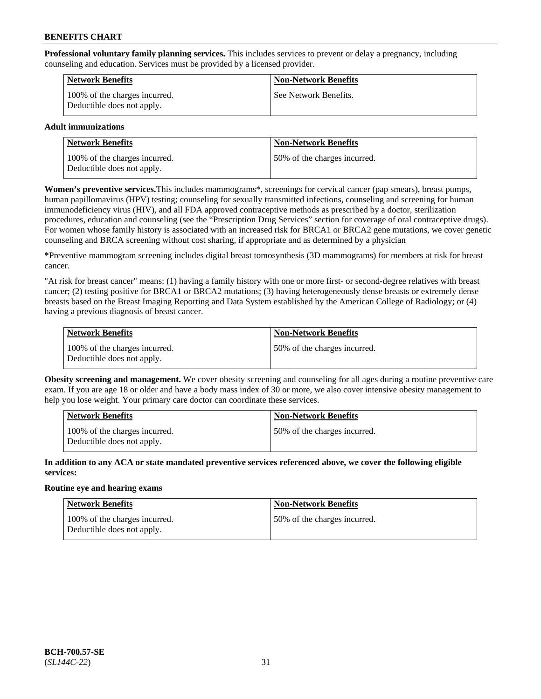**Professional voluntary family planning services.** This includes services to prevent or delay a pregnancy, including counseling and education. Services must be provided by a licensed provider.

| <b>Network Benefits</b>                                     | <b>Non-Network Benefits</b> |
|-------------------------------------------------------------|-----------------------------|
| 100% of the charges incurred.<br>Deductible does not apply. | See Network Benefits.       |

### **Adult immunizations**

| <b>Network Benefits</b>                                     | <b>Non-Network Benefits</b>  |
|-------------------------------------------------------------|------------------------------|
| 100% of the charges incurred.<br>Deductible does not apply. | 50% of the charges incurred. |

**Women's preventive services.**This includes mammograms\*, screenings for cervical cancer (pap smears), breast pumps, human papillomavirus (HPV) testing; counseling for sexually transmitted infections, counseling and screening for human immunodeficiency virus (HIV), and all FDA approved contraceptive methods as prescribed by a doctor, sterilization procedures, education and counseling (see the "Prescription Drug Services" section for coverage of oral contraceptive drugs). For women whose family history is associated with an increased risk for BRCA1 or BRCA2 gene mutations, we cover genetic counseling and BRCA screening without cost sharing, if appropriate and as determined by a physician

**\***Preventive mammogram screening includes digital breast tomosynthesis (3D mammograms) for members at risk for breast cancer.

"At risk for breast cancer" means: (1) having a family history with one or more first- or second-degree relatives with breast cancer; (2) testing positive for BRCA1 or BRCA2 mutations; (3) having heterogeneously dense breasts or extremely dense breasts based on the Breast Imaging Reporting and Data System established by the American College of Radiology; or (4) having a previous diagnosis of breast cancer.

| Network Benefits                                            | <b>Non-Network Benefits</b>  |
|-------------------------------------------------------------|------------------------------|
| 100% of the charges incurred.<br>Deductible does not apply. | 50% of the charges incurred. |

**Obesity screening and management.** We cover obesity screening and counseling for all ages during a routine preventive care exam. If you are age 18 or older and have a body mass index of 30 or more, we also cover intensive obesity management to help you lose weight. Your primary care doctor can coordinate these services.

| <b>Network Benefits</b>                                     | <b>Non-Network Benefits</b>   |
|-------------------------------------------------------------|-------------------------------|
| 100% of the charges incurred.<br>Deductible does not apply. | 150% of the charges incurred. |

**In addition to any ACA or state mandated preventive services referenced above, we cover the following eligible services:**

#### **Routine eye and hearing exams**

| Network Benefits                                            | <b>Non-Network Benefits</b>  |
|-------------------------------------------------------------|------------------------------|
| 100% of the charges incurred.<br>Deductible does not apply. | 50% of the charges incurred. |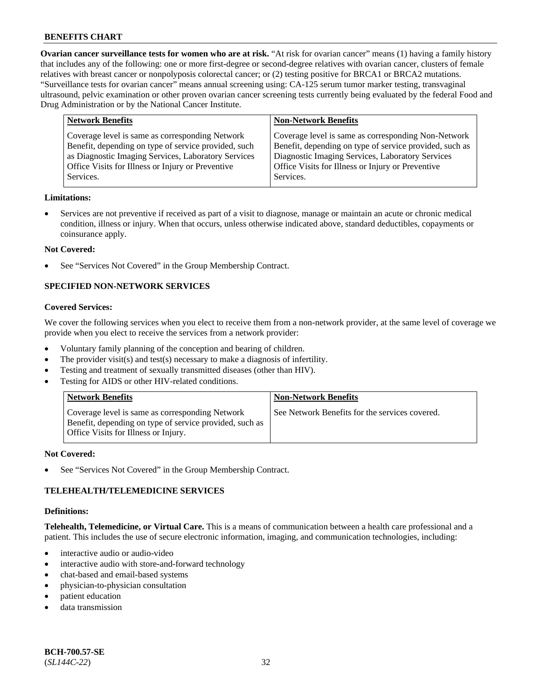**Ovarian cancer surveillance tests for women who are at risk.** "At risk for ovarian cancer" means (1) having a family history that includes any of the following: one or more first-degree or second-degree relatives with ovarian cancer, clusters of female relatives with breast cancer or nonpolyposis colorectal cancer; or (2) testing positive for BRCA1 or BRCA2 mutations. "Surveillance tests for ovarian cancer" means annual screening using: CA-125 serum tumor marker testing, transvaginal ultrasound, pelvic examination or other proven ovarian cancer screening tests currently being evaluated by the federal Food and Drug Administration or by the National Cancer Institute.

| <b>Network Benefits</b>                              | <b>Non-Network Benefits</b>                             |
|------------------------------------------------------|---------------------------------------------------------|
| Coverage level is same as corresponding Network      | Coverage level is same as corresponding Non-Network     |
| Benefit, depending on type of service provided, such | Benefit, depending on type of service provided, such as |
| as Diagnostic Imaging Services, Laboratory Services  | Diagnostic Imaging Services, Laboratory Services        |
| Office Visits for Illness or Injury or Preventive    | Office Visits for Illness or Injury or Preventive       |
| Services.                                            | Services.                                               |

#### **Limitations:**

• Services are not preventive if received as part of a visit to diagnose, manage or maintain an acute or chronic medical condition, illness or injury. When that occurs, unless otherwise indicated above, standard deductibles, copayments or coinsurance apply.

#### **Not Covered:**

See "Services Not Covered" in the Group Membership Contract.

## **SPECIFIED NON-NETWORK SERVICES**

### **Covered Services:**

We cover the following services when you elect to receive them from a non-network provider, at the same level of coverage we provide when you elect to receive the services from a network provider:

- Voluntary family planning of the conception and bearing of children.
- The provider visit(s) and test(s) necessary to make a diagnosis of infertility.
- Testing and treatment of sexually transmitted diseases (other than HIV).
- Testing for AIDS or other HIV-related conditions.

| <b>Network Benefits</b>                                                                                                                            | <b>Non-Network Benefits</b>                    |
|----------------------------------------------------------------------------------------------------------------------------------------------------|------------------------------------------------|
| Coverage level is same as corresponding Network<br>Benefit, depending on type of service provided, such as<br>Office Visits for Illness or Injury. | See Network Benefits for the services covered. |

#### **Not Covered:**

See "Services Not Covered" in the Group Membership Contract.

### **TELEHEALTH/TELEMEDICINE SERVICES**

#### **Definitions:**

**Telehealth, Telemedicine, or Virtual Care.** This is a means of communication between a health care professional and a patient. This includes the use of secure electronic information, imaging, and communication technologies, including:

- interactive audio or audio-video
- interactive audio with store-and-forward technology
- chat-based and email-based systems
- physician-to-physician consultation
- patient education
- data transmission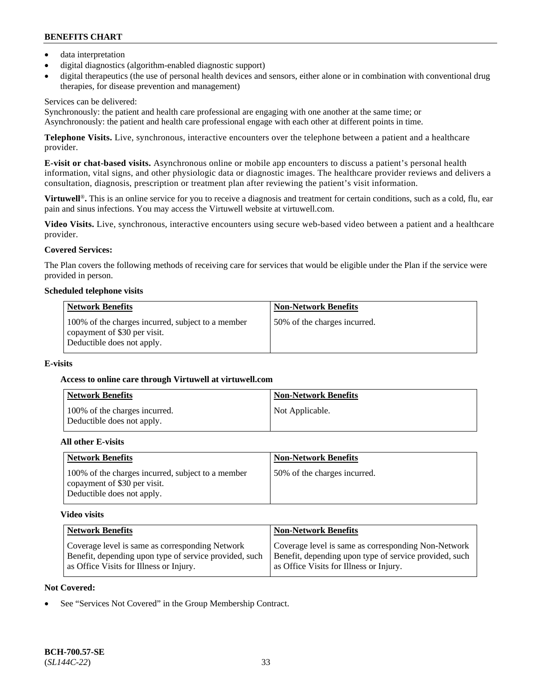- data interpretation
- digital diagnostics (algorithm-enabled diagnostic support)
- digital therapeutics (the use of personal health devices and sensors, either alone or in combination with conventional drug therapies, for disease prevention and management)

### Services can be delivered:

Synchronously: the patient and health care professional are engaging with one another at the same time; or Asynchronously: the patient and health care professional engage with each other at different points in time.

**Telephone Visits.** Live, synchronous, interactive encounters over the telephone between a patient and a healthcare provider.

**E-visit or chat-based visits.** Asynchronous online or mobile app encounters to discuss a patient's personal health information, vital signs, and other physiologic data or diagnostic images. The healthcare provider reviews and delivers a consultation, diagnosis, prescription or treatment plan after reviewing the patient's visit information.

**Virtuwell<sup>®</sup>**. This is an online service for you to receive a diagnosis and treatment for certain conditions, such as a cold, flu, ear pain and sinus infections. You may access the Virtuwell website at [virtuwell.com.](https://www.virtuwell.com/)

**Video Visits.** Live, synchronous, interactive encounters using secure web-based video between a patient and a healthcare provider.

## **Covered Services:**

The Plan covers the following methods of receiving care for services that would be eligible under the Plan if the service were provided in person.

#### **Scheduled telephone visits**

| <b>Network Benefits</b>                                                                                         | <b>Non-Network Benefits</b>  |
|-----------------------------------------------------------------------------------------------------------------|------------------------------|
| 100% of the charges incurred, subject to a member<br>copayment of \$30 per visit.<br>Deductible does not apply. | 50% of the charges incurred. |

### **E-visits**

### **Access to online care through Virtuwell at [virtuwell.com](https://www.virtuwell.com/)**

| Network Benefits                                            | <b>Non-Network Benefits</b> |
|-------------------------------------------------------------|-----------------------------|
| 100% of the charges incurred.<br>Deductible does not apply. | Not Applicable.             |

### **All other E-visits**

| <b>Network Benefits</b>                                                                                         | <b>Non-Network Benefits</b>  |
|-----------------------------------------------------------------------------------------------------------------|------------------------------|
| 100% of the charges incurred, subject to a member<br>copayment of \$30 per visit.<br>Deductible does not apply. | 50% of the charges incurred. |

### **Video visits**

| <b>Network Benefits</b>                                | <b>Non-Network Benefits</b>                            |
|--------------------------------------------------------|--------------------------------------------------------|
| Coverage level is same as corresponding Network        | Coverage level is same as corresponding Non-Network    |
| Benefit, depending upon type of service provided, such | Benefit, depending upon type of service provided, such |
| as Office Visits for Illness or Injury.                | as Office Visits for Illness or Injury.                |

### **Not Covered:**

See "Services Not Covered" in the Group Membership Contract.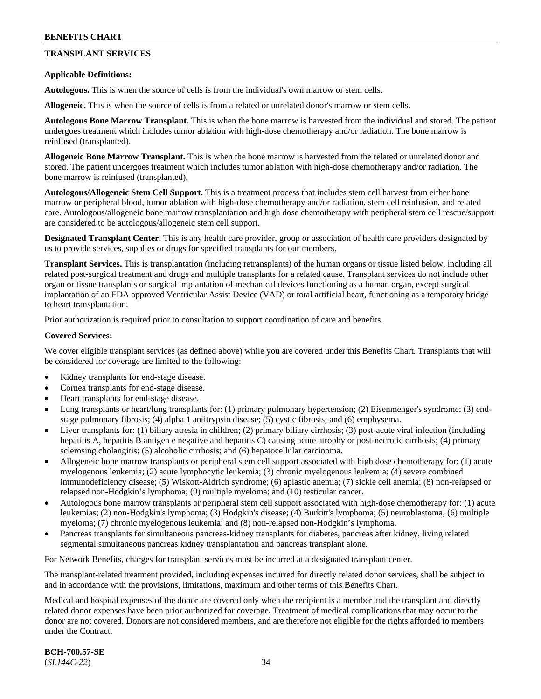## **TRANSPLANT SERVICES**

#### **Applicable Definitions:**

**Autologous.** This is when the source of cells is from the individual's own marrow or stem cells.

**Allogeneic.** This is when the source of cells is from a related or unrelated donor's marrow or stem cells.

**Autologous Bone Marrow Transplant.** This is when the bone marrow is harvested from the individual and stored. The patient undergoes treatment which includes tumor ablation with high-dose chemotherapy and/or radiation. The bone marrow is reinfused (transplanted).

**Allogeneic Bone Marrow Transplant.** This is when the bone marrow is harvested from the related or unrelated donor and stored. The patient undergoes treatment which includes tumor ablation with high-dose chemotherapy and/or radiation. The bone marrow is reinfused (transplanted).

**Autologous/Allogeneic Stem Cell Support.** This is a treatment process that includes stem cell harvest from either bone marrow or peripheral blood, tumor ablation with high-dose chemotherapy and/or radiation, stem cell reinfusion, and related care. Autologous/allogeneic bone marrow transplantation and high dose chemotherapy with peripheral stem cell rescue/support are considered to be autologous/allogeneic stem cell support.

**Designated Transplant Center.** This is any health care provider, group or association of health care providers designated by us to provide services, supplies or drugs for specified transplants for our members.

**Transplant Services.** This is transplantation (including retransplants) of the human organs or tissue listed below, including all related post-surgical treatment and drugs and multiple transplants for a related cause. Transplant services do not include other organ or tissue transplants or surgical implantation of mechanical devices functioning as a human organ, except surgical implantation of an FDA approved Ventricular Assist Device (VAD) or total artificial heart, functioning as a temporary bridge to heart transplantation.

Prior authorization is required prior to consultation to support coordination of care and benefits.

#### **Covered Services:**

We cover eligible transplant services (as defined above) while you are covered under this Benefits Chart. Transplants that will be considered for coverage are limited to the following:

- Kidney transplants for end-stage disease.
- Cornea transplants for end-stage disease.
- Heart transplants for end-stage disease.
- Lung transplants or heart/lung transplants for: (1) primary pulmonary hypertension; (2) Eisenmenger's syndrome; (3) endstage pulmonary fibrosis; (4) alpha 1 antitrypsin disease; (5) cystic fibrosis; and (6) emphysema.
- Liver transplants for: (1) biliary atresia in children; (2) primary biliary cirrhosis; (3) post-acute viral infection (including hepatitis A, hepatitis B antigen e negative and hepatitis C) causing acute atrophy or post-necrotic cirrhosis; (4) primary sclerosing cholangitis; (5) alcoholic cirrhosis; and (6) hepatocellular carcinoma.
- Allogeneic bone marrow transplants or peripheral stem cell support associated with high dose chemotherapy for: (1) acute myelogenous leukemia; (2) acute lymphocytic leukemia; (3) chronic myelogenous leukemia; (4) severe combined immunodeficiency disease; (5) Wiskott-Aldrich syndrome; (6) aplastic anemia; (7) sickle cell anemia; (8) non-relapsed or relapsed non-Hodgkin's lymphoma; (9) multiple myeloma; and (10) testicular cancer.
- Autologous bone marrow transplants or peripheral stem cell support associated with high-dose chemotherapy for: (1) acute leukemias; (2) non-Hodgkin's lymphoma; (3) Hodgkin's disease; (4) Burkitt's lymphoma; (5) neuroblastoma; (6) multiple myeloma; (7) chronic myelogenous leukemia; and (8) non-relapsed non-Hodgkin's lymphoma.
- Pancreas transplants for simultaneous pancreas-kidney transplants for diabetes, pancreas after kidney, living related segmental simultaneous pancreas kidney transplantation and pancreas transplant alone.

For Network Benefits, charges for transplant services must be incurred at a designated transplant center.

The transplant-related treatment provided, including expenses incurred for directly related donor services, shall be subject to and in accordance with the provisions, limitations, maximum and other terms of this Benefits Chart.

Medical and hospital expenses of the donor are covered only when the recipient is a member and the transplant and directly related donor expenses have been prior authorized for coverage. Treatment of medical complications that may occur to the donor are not covered. Donors are not considered members, and are therefore not eligible for the rights afforded to members under the Contract.